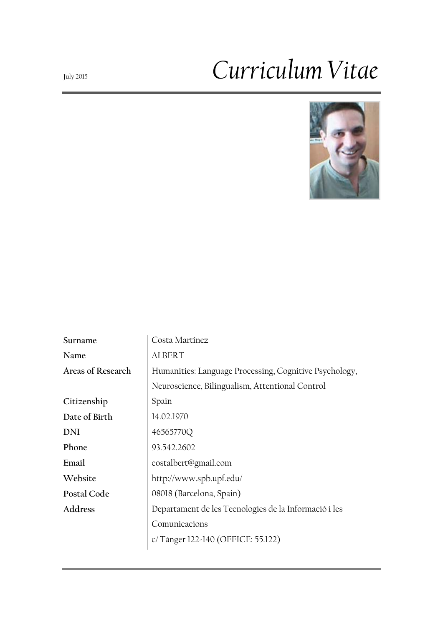# July <sup>2015</sup>*Curriculum Vitae*



| Surname           | Costa Martínez                                         |
|-------------------|--------------------------------------------------------|
| Name              | <b>ALBERT</b>                                          |
| Areas of Research | Humanities: Language Processing, Cognitive Psychology, |
|                   | Neuroscience, Bilingualism, Attentional Control        |
| Citizenship       | Spain                                                  |
| Date of Birth     | 14.02.1970                                             |
| DNI               | 46565770Q                                              |
| Phone             | 93.542.2602                                            |
| Email             | costalbert@gmail.com                                   |
| Website           | http://www.spb.upf.edu/                                |
| Postal Code       | 08018 (Barcelona, Spain)                               |
| Address           | Departament de les Tecnologies de la Informació i les  |
|                   | Comunicacions                                          |
|                   | c/Tànger 122-140 (OFFICE: 55.122)                      |
|                   |                                                        |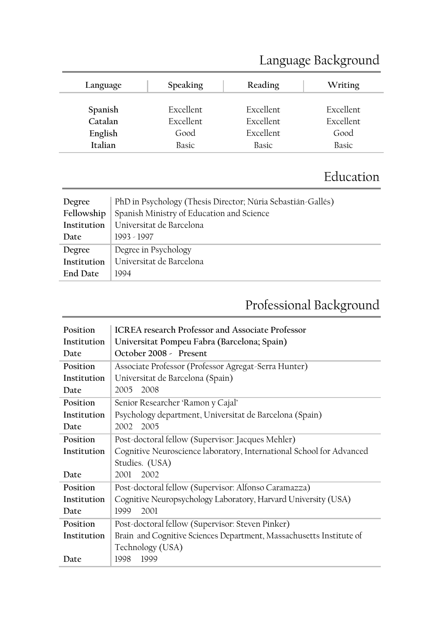| Language           | Speaking                 | Reading                       | Writing                  |
|--------------------|--------------------------|-------------------------------|--------------------------|
| Spanish            | <b>Excellent</b>         | <b>Excellent</b>              | <b>Excellent</b>         |
| Catalan<br>English | <b>Excellent</b><br>Good | <b>Excellent</b><br>Excellent | <b>Excellent</b><br>Good |
| Italian            | Basic                    | Basic                         | Basic                    |

# Language Background

# Education

| Degree          | PhD in Psychology (Thesis Director; Núria Sebastián-Gallés) |
|-----------------|-------------------------------------------------------------|
| Fellowship      | Spanish Ministry of Education and Science                   |
| Institution     | Universitat de Barcelona                                    |
| Date            | 1993 - 1997                                                 |
| Degree          | Degree in Psychology                                        |
| Institution     | Universitat de Barcelona                                    |
| <b>End Date</b> | 1994                                                        |

# Professional Background

| Position    | <b>ICREA</b> research Professor and Associate Professor              |
|-------------|----------------------------------------------------------------------|
| Institution | Universitat Pompeu Fabra (Barcelona; Spain)                          |
| Date        | October 2008 - Present                                               |
| Position    | Associate Professor (Professor Agregat-Serra Hunter)                 |
| Institution | Universitat de Barcelona (Spain)                                     |
| Date        | 2005 2008                                                            |
| Position    | Senior Researcher 'Ramon y Cajal'                                    |
| Institution | Psychology department, Universitat de Barcelona (Spain)              |
| Date        | 2002<br>2005                                                         |
| Position    | Post-doctoral fellow (Supervisor: Jacques Mehler)                    |
| Institution | Cognitive Neuroscience laboratory, International School for Advanced |
|             | Studies. (USA)                                                       |
| Date        | 2002<br>2001                                                         |
| Position    | Post-doctoral fellow (Supervisor: Alfonso Caramazza)                 |
| Institution | Cognitive Neuropsychology Laboratory, Harvard University (USA)       |
| Date        | 2001<br>1999                                                         |
| Position    | Post-doctoral fellow (Supervisor: Steven Pinker)                     |
| Institution | Brain and Cognitive Sciences Department, Massachusetts Institute of  |
|             | Technology (USA)                                                     |
| Date        | 1998<br>1999                                                         |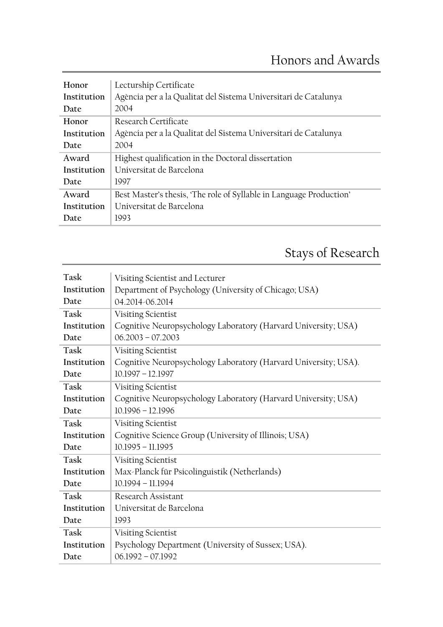| Honor       | Lecturship Certificate                                              |
|-------------|---------------------------------------------------------------------|
| Institution | Agència per a la Qualitat del Sistema Universitari de Catalunya     |
| Date        | 2004                                                                |
| Honor       | Research Certificate                                                |
| Institution | Agència per a la Qualitat del Sistema Universitari de Catalunya     |
| Date        | 2004                                                                |
| Award       | Highest qualification in the Doctoral dissertation                  |
| Institution | Universitat de Barcelona                                            |
| Date        | 1997                                                                |
| Award       | Best Master's thesis, 'The role of Syllable in Language Production' |
| Institution | Universitat de Barcelona                                            |
| Date        | 1993                                                                |

# Stays of Research

| Task        | Visiting Scientist and Lecturer                                 |
|-------------|-----------------------------------------------------------------|
| Institution | Department of Psychology (University of Chicago; USA)           |
| Date        | 04.2014-06.2014                                                 |
| Task        | Visiting Scientist                                              |
| Institution | Cognitive Neuropsychology Laboratory (Harvard University; USA)  |
| Date        | $06.2003 - 07.2003$                                             |
| Task        | Visiting Scientist                                              |
| Institution | Cognitive Neuropsychology Laboratory (Harvard University; USA). |
| Date        | 10.1997 - 12.1997                                               |
| Task        | Visiting Scientist                                              |
| Institution | Cognitive Neuropsychology Laboratory (Harvard University; USA)  |
| Date        | $10.1996 - 12.1996$                                             |
| Task        | Visiting Scientist                                              |
| Institution | Cognitive Science Group (University of Illinois; USA)           |
| Date        | $10.1995 - 11.1995$                                             |
| Task        | Visiting Scientist                                              |
| Institution | Max-Planck für Psicolinguistik (Netherlands)                    |
| Date        | $10.1994 - 11.1994$                                             |
| Task        | Research Assistant                                              |
| Institution | Universitat de Barcelona                                        |
| Date        | 1993                                                            |
| Task        | Visiting Scientist                                              |
| Institution | Psychology Department (University of Sussex; USA).              |
| Date        | $06.1992 - 07.1992$                                             |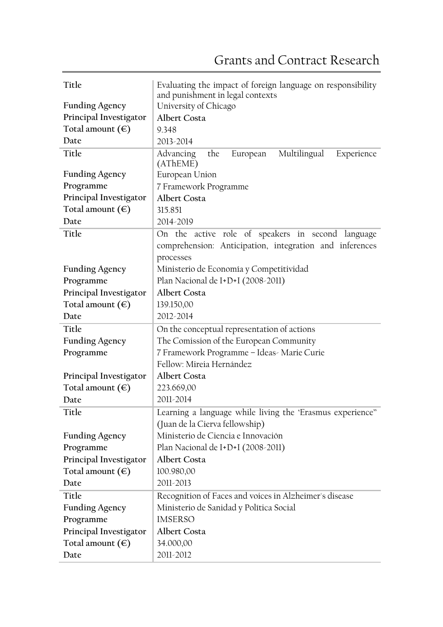| Title                     | Evaluating the impact of foreign language on responsibility                   |
|---------------------------|-------------------------------------------------------------------------------|
| <b>Funding Agency</b>     | and punishment in legal contexts<br>University of Chicago                     |
| Principal Investigator    | <b>Albert Costa</b>                                                           |
| Total amount $(\epsilon)$ | 9.348                                                                         |
| Date                      | 2013-2014                                                                     |
|                           |                                                                               |
| Title                     | Multilingual<br><b>Advancing</b><br>the<br>European<br>Experience<br>(AThEME) |
| <b>Funding Agency</b>     | European Union                                                                |
| Programme                 | 7 Framework Programme                                                         |
| Principal Investigator    | Albert Costa                                                                  |
| Total amount $(\epsilon)$ | 315.851                                                                       |
| Date                      | 2014-2019                                                                     |
| Title                     | On the active role of speakers in second language                             |
|                           | comprehension: Anticipation, integration and inferences                       |
|                           | processes                                                                     |
| <b>Funding Agency</b>     | Ministerio de Economía y Competitividad                                       |
| Programme                 | Plan Nacional de I+D+I (2008-2011)                                            |
| Principal Investigator    | <b>Albert Costa</b>                                                           |
| Total amount $(\epsilon)$ | 139.150,00                                                                    |
| Date                      | 2012-2014                                                                     |
| Title                     | On the conceptual representation of actions                                   |
| <b>Funding Agency</b>     | The Comission of the European Community                                       |
| Programme                 | 7 Framework Programme - Ideas- Marie Curie                                    |
|                           | Fellow: Mireia Hernández                                                      |
| Principal Investigator    | Albert Costa                                                                  |
| Total amount $(\epsilon)$ | 223.669,00                                                                    |
| Date                      | 2011-2014                                                                     |
| Title                     | Learning a language while living the 'Erasmus experience"                     |
|                           | (Juan de la Cierva fellowship)                                                |
| <b>Funding Agency</b>     | Ministerio de Ciencia e Innovación                                            |
| Programme                 | Plan Nacional de I+D+I (2008-2011)                                            |
| Principal Investigator    | Albert Costa                                                                  |
| Total amount $(\epsilon)$ | 100.980,00                                                                    |
| Date                      | 2011-2013                                                                     |
|                           |                                                                               |
| Title                     | Recognition of Faces and voices in Alzheimer's disease                        |
| <b>Funding Agency</b>     | Ministerio de Sanidad y Política Social                                       |
| Programme                 | <b>IMSERSO</b>                                                                |
| Principal Investigator    | Albert Costa                                                                  |
| Total amount $(\epsilon)$ | 34.000,00                                                                     |
| Date                      | 2011-2012                                                                     |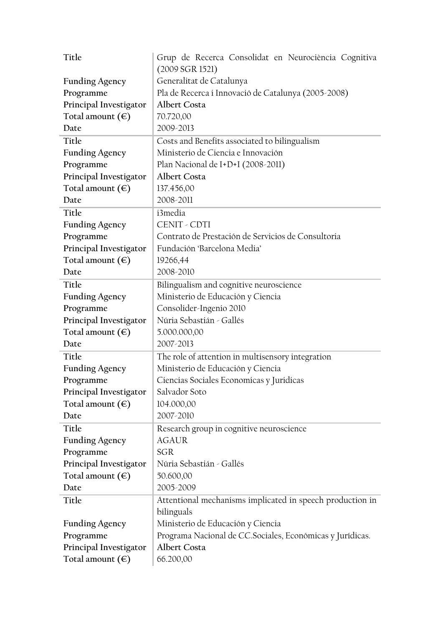| Title                     | Grup de Recerca Consolidat en Neurociència Cognitiva       |
|---------------------------|------------------------------------------------------------|
|                           | (2009 SGR 1521)                                            |
| <b>Funding Agency</b>     | Generalitat de Catalunya                                   |
| Programme                 | Pla de Recerca i Innovació de Catalunya (2005-2008)        |
| Principal Investigator    | Albert Costa                                               |
| Total amount $(\epsilon)$ | 70.720,00                                                  |
| Date                      | 2009-2013                                                  |
| Title                     | Costs and Benefits associated to bilingualism              |
| <b>Funding Agency</b>     | Ministerio de Ciencia e Innovación                         |
| Programme                 | Plan Nacional de I+D+I (2008-2011)                         |
| Principal Investigator    | <b>Albert Costa</b>                                        |
| Total amount $(\epsilon)$ | 137.456,00                                                 |
| Date                      | 2008-2011                                                  |
| Title                     | i3media                                                    |
| <b>Funding Agency</b>     | CENIT - CDTI                                               |
| Programme                 | Contrato de Prestación de Servicios de Consultoria         |
| Principal Investigator    | Fundación 'Barcelona Media'                                |
| Total amount $(\epsilon)$ | 19266,44                                                   |
| Date                      | 2008-2010                                                  |
| Title                     | Bilingualism and cognitive neuroscience                    |
| <b>Funding Agency</b>     | Ministerio de Educación y Ciencia                          |
| Programme                 | Consolider-Ingenio 2010                                    |
| Principal Investigator    | Núria Sebastián - Gallés                                   |
| Total amount $(\epsilon)$ | 5.000.000,00                                               |
| Date                      | 2007-2013                                                  |
| Title                     | The role of attention in multisensory integration          |
| <b>Funding Agency</b>     | Ministerio de Educación y Ciencia                          |
| Programme                 | Ciencias Sociales Economicas y Juridicas                   |
| Principal Investigator    | Salvador Soto                                              |
| Total amount $(\epsilon)$ | 104.000,00                                                 |
| Date                      | 2007-2010                                                  |
| Title                     | Research group in cognitive neuroscience                   |
| <b>Funding Agency</b>     | <b>AGAUR</b>                                               |
| Programme                 | SGR                                                        |
| Principal Investigator    | Núria Sebastián - Gallés                                   |
| Total amount $(\epsilon)$ | 50.600,00                                                  |
| Date                      | 2005-2009                                                  |
| Title                     | Attentional mechanisms implicated in speech production in  |
|                           | bilinguals                                                 |
| <b>Funding Agency</b>     | Ministerio de Educación y Ciencia                          |
| Programme                 | Programa Nacional de CC. Sociales, Económicas y Jurídicas. |
| Principal Investigator    | <b>Albert Costa</b>                                        |
| Total amount $(\epsilon)$ | 66.200,00                                                  |
|                           |                                                            |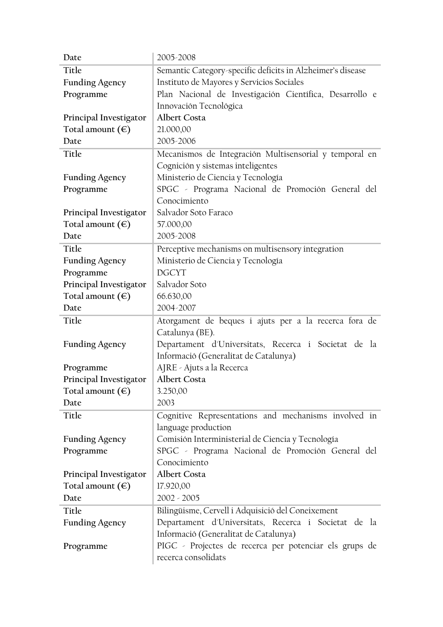| Date                      | 2005-2008                                                  |
|---------------------------|------------------------------------------------------------|
| Title                     | Semantic Category-specific deficits in Alzheimer's disease |
| <b>Funding Agency</b>     | Instituto de Mayores y Servicios Sociales                  |
| Programme                 | Plan Nacional de Investigación Científica, Desarrollo e    |
|                           | Innovación Tecnológica                                     |
| Principal Investigator    | <b>Albert Costa</b>                                        |
| Total amount $(\epsilon)$ | 21.000,00                                                  |
| Date                      | 2005-2006                                                  |
| Title                     | Mecanismos de Integración Multisensorial y temporal en     |
|                           | Cognición y sistemas inteligentes                          |
| <b>Funding Agency</b>     | Ministerio de Ciencia y Tecnología                         |
| Programme                 | SPGC - Programa Nacional de Promoción General del          |
|                           | Conocimiento                                               |
| Principal Investigator    | Salvador Soto Faraco                                       |
| Total amount $(\epsilon)$ | 57.000,00                                                  |
| Date                      | 2005-2008                                                  |
| Title                     | Perceptive mechanisms on multisensory integration          |
| <b>Funding Agency</b>     | Ministerio de Ciencia y Tecnología                         |
| Programme                 | <b>DGCYT</b>                                               |
| Principal Investigator    | Salvador Soto                                              |
| Total amount $(\epsilon)$ | 66.630,00                                                  |
| Date                      | 2004-2007                                                  |
| Title                     | Atorgament de beques i ajuts per a la recerca fora de      |
|                           | Catalunya (BE).                                            |
| <b>Funding Agency</b>     | Departament d'Universitats, Recerca i Societat de la       |
|                           | Informació (Generalitat de Catalunya)                      |
| Programme                 | AJRE - Ajuts a la Recerca                                  |
| Principal Investigator    | <b>Albert Costa</b>                                        |
| Total amount $(\epsilon)$ | 3.250,00                                                   |
| Date                      | 2003                                                       |
| Title                     | Cognitive Representations and mechanisms involved in       |
|                           | language production                                        |
| <b>Funding Agency</b>     | Comisión Interministerial de Ciencia y Tecnología          |
| Programme                 | SPGC - Programa Nacional de Promoción General del          |
|                           |                                                            |
|                           | Conocimiento                                               |
| Principal Investigator    | Albert Costa                                               |
| Total amount $(\epsilon)$ | 17.920,00                                                  |
| Date                      | $2002 - 2005$                                              |
| Title                     | Bilingüisme, Cervell i Adquisició del Coneixement          |
| <b>Funding Agency</b>     | Departament d'Universitats, Recerca i Societat de la       |
|                           | Informació (Generalitat de Catalunya)                      |
| Programme                 | PIGC - Projectes de recerca per potenciar els grups de     |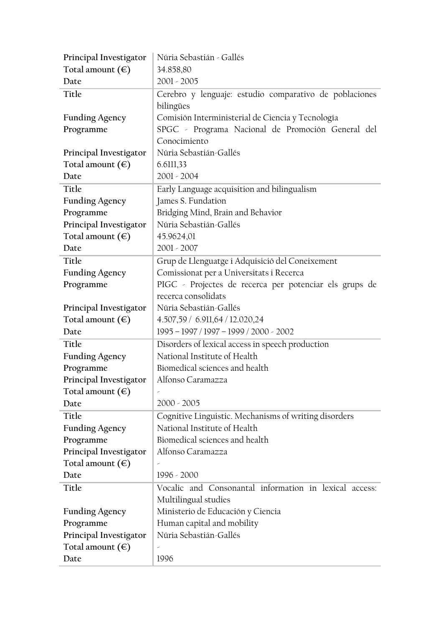| Principal Investigator                              | Núria Sebastián - Gallés                               |
|-----------------------------------------------------|--------------------------------------------------------|
| Total amount $(\epsilon)$                           | 34.858,80                                              |
| Date                                                | $2001 - 2005$                                          |
| Title                                               | Cerebro y lenguaje: estudio comparativo de poblaciones |
|                                                     | bilingües                                              |
| <b>Funding Agency</b>                               | Comisión Interministerial de Ciencia y Tecnología      |
| Programme                                           | SPGC - Programa Nacional de Promoción General del      |
|                                                     | Conocimiento                                           |
| Principal Investigator                              | Núria Sebastián-Gallés                                 |
| Total amount $(\epsilon)$                           | 6.6111,33                                              |
| Date                                                | $2001 - 2004$                                          |
| Title                                               | Early Language acquisition and bilingualism            |
| <b>Funding Agency</b>                               | James S. Fundation                                     |
| Programme                                           | Bridging Mind, Brain and Behavior                      |
| Principal Investigator                              | Núria Sebastián-Gallés                                 |
| Total amount $(\epsilon)$                           | 45.9624,01                                             |
| Date                                                | $2001 - 2007$                                          |
| Title                                               | Grup de Llenguatge i Adquisició del Coneixement        |
| <b>Funding Agency</b>                               | Comissionat per a Universitats i Recerca               |
| Programme                                           | PIGC - Projectes de recerca per potenciar els grups de |
|                                                     | recerca consolidats                                    |
| Principal Investigator                              | Núria Sebastián-Gallés                                 |
| Total amount $(\epsilon)$                           | 4.507,59 / 6.911,64 / 12.020,24                        |
| Date                                                | 1995 - 1997 / 1997 - 1999 / 2000 - 2002                |
| Title                                               | Disorders of lexical access in speech production       |
| <b>Funding Agency</b>                               | National Institute of Health                           |
| Programme                                           | Biomedical sciences and health                         |
| Principal Investigator                              | Alfonso Caramazza                                      |
| Total amount $(\epsilon)$                           |                                                        |
| Date                                                | $2000 - 2005$                                          |
| Title                                               | Cognitive Linguistic. Mechanisms of writing disorders  |
| <b>Funding Agency</b>                               | National Institute of Health                           |
| Programme                                           | Biomedical sciences and health                         |
| Principal Investigator                              | Alfonso Caramazza                                      |
| Total amount $(\epsilon)$                           |                                                        |
| Date                                                | 1996 - 2000                                            |
| Title                                               | Vocalic and Consonantal information in lexical access: |
|                                                     | Multilingual studies                                   |
| <b>Funding Agency</b>                               | Ministerio de Educación y Ciencia                      |
| Programme                                           | Human capital and mobility                             |
|                                                     | Núria Sebastián-Gallés                                 |
|                                                     |                                                        |
| Principal Investigator<br>Total amount $(\epsilon)$ | ×                                                      |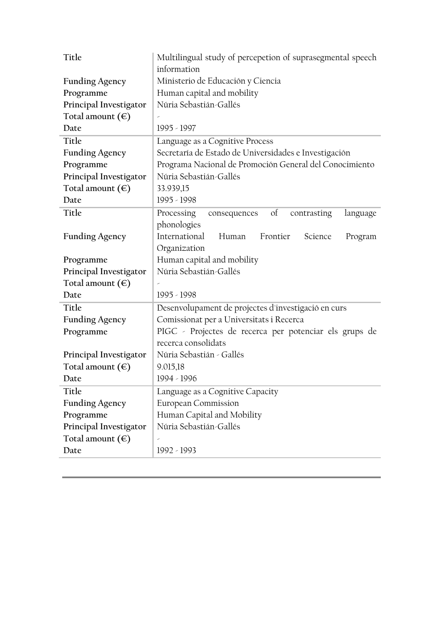| Title                     | Multilingual study of percepetion of suprasegmental speech<br>information |
|---------------------------|---------------------------------------------------------------------------|
| <b>Funding Agency</b>     | Ministerio de Educación y Ciencia                                         |
| Programme                 | Human capital and mobility                                                |
| Principal Investigator    | Núria Sebastián-Gallés                                                    |
| Total amount $(\epsilon)$ |                                                                           |
| Date                      | 1995 - 1997                                                               |
| Title                     | Language as a Cognitive Process                                           |
| <b>Funding Agency</b>     | Secretaría de Estado de Universidades e Investigación                     |
| Programme                 | Programa Nacional de Promoción General del Conocimiento                   |
| Principal Investigator    | Núria Sebastián-Gallés                                                    |
| Total amount $(\epsilon)$ | 33.939,15                                                                 |
| Date                      | 1995 - 1998                                                               |
| Title                     | Processing<br>$\sigma$<br>consequences<br>contrasting<br>language         |
|                           | phonologies                                                               |
| <b>Funding Agency</b>     | International<br>Frontier<br>Human<br>Science<br>Program                  |
|                           | Organization                                                              |
| Programme                 | Human capital and mobility                                                |
| Principal Investigator    | Núria Sebastián-Gallés                                                    |
| Total amount $(\epsilon)$ |                                                                           |
| Date                      | 1995 - 1998                                                               |
| Title                     | Desenvolupament de projectes d'investigació en curs                       |
| <b>Funding Agency</b>     | Comissionat per a Universitats i Recerca                                  |
| Programme                 | PIGC - Projectes de recerca per potenciar els grups de                    |
|                           | recerca consolidats                                                       |
| Principal Investigator    | Núria Sebastián - Gallés                                                  |
| Total amount $(\epsilon)$ | 9.015,18                                                                  |
| Date                      | 1994 - 1996                                                               |
| Title                     | Language as a Cognitive Capacity                                          |
| <b>Funding Agency</b>     | European Commission                                                       |
| Programme                 | Human Capital and Mobility                                                |
| Principal Investigator    | Núria Sebastián-Gallés                                                    |
|                           |                                                                           |
| Total amount $(\epsilon)$ |                                                                           |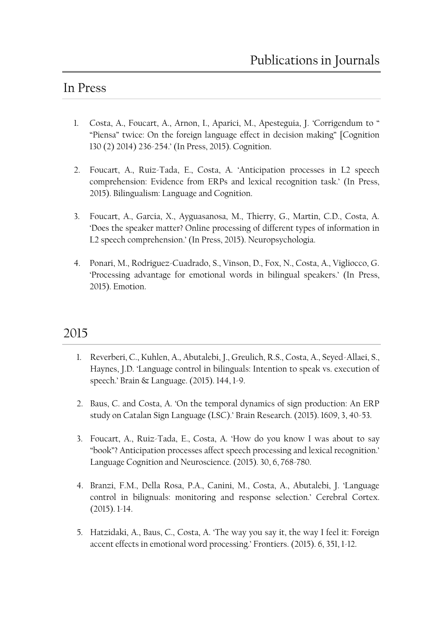### In Press

- 1. Costa, A., Foucart, A., Arnon, I., Aparici, M., Apesteguia, J. 'Corrigendum to " "Piensa" twice: On the foreign language effect in decision making" [Cognition 130 (2) 2014) 236-254.' (In Press, 2015). Cognition.
- 2. Foucart, A., Ruiz-Tada, E., Costa, A. 'Anticipation processes in L2 speech comprehension: Evidence from ERPs and lexical recognition task.' (In Press, 2015). Bilingualism: Language and Cognition.
- 3. Foucart, A., Garcia, X., Ayguasanosa, M., Thierry, G., Martin, C.D., Costa, A. 'Does the speaker matter? Online processing of different types of information in L2 speech comprehension.' (In Press, 2015). Neuropsychologia.
- 4. Ponari, M., Rodriguez-Cuadrado, S., Vinson, D., Fox, N., Costa, A., Vigliocco, G. 'Processing advantage for emotional words in bilingual speakers.' (In Press, 2015). Emotion.

- 1. Reverberi, C., Kuhlen, A., Abutalebi, J., Greulich, R.S., Costa, A., Seyed-Allaei, S., Haynes, J.D. 'Language control in bilinguals: Intention to speak vs. execution of speech.' Brain & Language. (2015). 144, 1-9.
- 2. Baus, C. and Costa, A. 'On the temporal dynamics of sign production: An ERP study on Catalan Sign Language (LSC).' Brain Research. (2015). 1609, 3, 40-53.
- 3. Foucart, A., Ruiz-Tada, E., Costa, A. 'How do you know I was about to say "book"? Anticipation processes affect speech processing and lexical recognition.' Language Cognition and Neuroscience. (2015). 30, 6, 768-780.
- 4. Branzi, F.M., Della Rosa, P.A., Canini, M., Costa, A., Abutalebi, J. 'Language control in bilignuals: monitoring and response selection.' Cerebral Cortex. (2015). 1-14.
- 5. Hatzidaki, A., Baus, C., Costa, A. 'The way you say it, the way I feel it: Foreign accent effects in emotional word processing.' Frontiers. (2015). 6, 351, 1-12.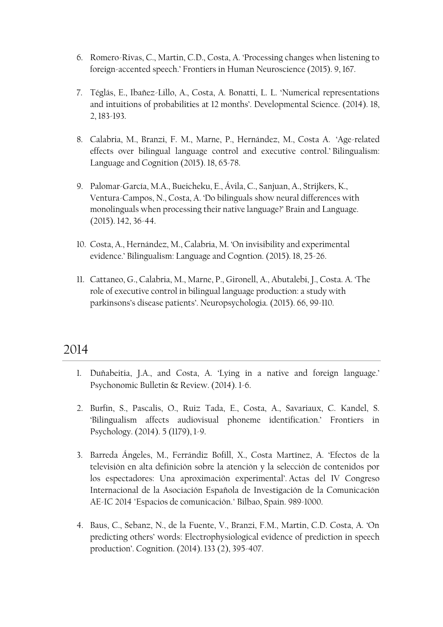- 6. Romero-Rivas, C., Martin, C.D., Costa, A. 'Processing changes when listening to foreign-accented speech.' Frontiers in Human Neuroscience (2015). 9, 167.
- 7. Téglás, E., Ibañez-Lillo, A., Costa, A. Bonatti, L. L. 'Numerical representations and intuitions of probabilities at 12 months'. Developmental Science. (2014). 18, 2, 183-193.
- 8. Calabria, M., Branzi, F. M., Marne, P., Hernández, M., Costa A. '[Age-related](http://www.spb.upf.edu/node/418)  [effects over bilingual language control and executive control](http://www.spb.upf.edu/node/418).' Bilingualism: Language and Cognition (2015). 18, 65-78.
- 9. Palomar-García, M.A., Bueicheku, E., Ávila, C., Sanjuan, A., Strijkers, K., Ventura-Campos, N., Costa, A. 'Do bilinguals show neural differences with monolinguals when processing their native language?' Brain and Language. (2015). 142, 36-44.
- 10. Costa, A., Hernández, M., Calabria, M. 'On invisibility and experimental evidence.' Bilingualism: Language and Cogntion. (2015). 18, 25-26.
- 11. Cattaneo, G., Calabria, M., Marne, P., Gironell, A., Abutalebi, J., Costa. A. 'The role of executive control in bilingual language production: a study with parkinsons's disease patients'. Neuropsychologia. (2015). 66, 99-110.

- 1. Duñabeitia, J.A., and Costa, A. 'Lying in a native and foreign language.' Psychonomic Bulletin & Review. (2014). 1-6.
- 2. Burfin, S., Pascalis, O., Ruiz Tada, E., Costa, A., Savariaux, C. Kandel, S. 'Bilingualism affects audiovisual phoneme identification.' Frontiers in Psychology. (2014). 5 (1179), 1-9.
- 3. Barreda Ángeles, M., Ferrándiz Bofill, X., Costa Martínez, A. 'Efectos de la televisión en alta definición sobre la atención y la selección de contenidos por los espectadores: Una aproximación experimental'. Actas del IV Congreso Internacional de la Asociación Española de Investigación de la Comunicación AE-IC 2014 "Espacios de comunicación." Bilbao, Spain. 989-1000.
- 4. Baus, C., Sebanz, N., de la Fuente, V., Branzi, F.M., Martin, C.D. Costa, A. 'On predicting others' words: Electrophysiological evidence of prediction in speech production'. Cognition. (2014). 133 (2), 395-407.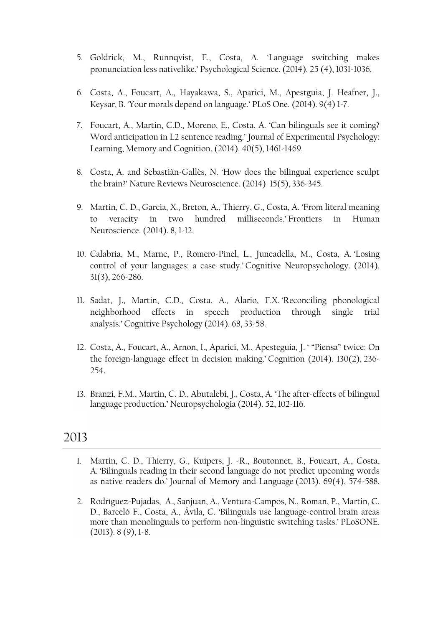- 5. Goldrick, M., Runnqvist, E., Costa, A. 'Language switching makes pronunciation less nativelike.' Psychological Science. (2014). 25 (4), 1031-1036.
- 6. Costa, A., Foucart, A., Hayakawa, S., Aparici, M., Apestguia, J. Heafner, J., Keysar, B. 'Your morals depend on language.' PLoS One. (2014). 9(4) 1-7.
- 7. Foucart, A., Martin, C.D., Moreno, E., Costa, A. 'Can bilinguals see it coming? Word anticipation in L2 sentence reading.' Journal of Experimental Psychology: Learning, Memory and Cognition. (2014). 40(5), 1461-1469.
- 8. Costa, A. and Sebastiàn-Gallès, N. 'How does the bilingual experience sculpt the brain?' Nature Reviews Neuroscience. (2014) 15(5), 336-345.
- 9. Martin, C. D., Garcia, X., Breton, A., Thierry, G., Costa, A. '[From literal meaning](http://www.spb.upf.edu/node/410)  [to veracity in two hundred milliseconds](http://www.spb.upf.edu/node/410).' Frontiers in Human Neuroscience. (2014). 8, 1-12.
- 10. Calabria, M., Marne, P., Romero-Pinel, L., Juncadella, M., Costa, A. '[Losing](http://www.spb.upf.edu/node/461)  [control of your languages: a case study](http://www.spb.upf.edu/node/461).' Cognitive Neuropsychology. (2014). 31(3), 266-286.
- 11. Sadat, J., Martin, C.D., Costa, A., Alario, F.X. '[Reconciling phonological](http://www.spb.upf.edu/node/493)  [neighborhood effects in speech production through single trial](http://www.spb.upf.edu/node/493)  [analysis](http://www.spb.upf.edu/node/493).' Cognitive Psychology (2014). 68, 33-58.
- 12. Costa, A., Foucart, A., Arnon, I., Aparici, M., Apesteguia, J. ' ["Piensa" twice: On](http://www.spb.upf.edu/node/482)  [the foreign-language effect in decision making](http://www.spb.upf.edu/node/482).' Cognition (2014). 130(2), 236- 254.
- 13. Branzi, F.M., Martin, C. D., Abutalebi, J., Costa, A. '[The after-effects of bilingual](http://www.spb.upf.edu/node/485)  [language production.](http://www.spb.upf.edu/node/485)' Neuropsychologia (2014). 52, 102-116.

- 1. Martin, C. D., Thierry, G., Kuipers, J. -R., Boutonnet, B., Foucart, A., Costa, A. '[Bilinguals reading in their second language do not predict](http://www.spb.upf.edu/node/458) upcoming words [as native readers do.](http://www.spb.upf.edu/node/458)' Journal of Memory and Language (2013). 69(4), 574-588.
- 2. Rodríguez-Pujadas, A., Sanjuan, A., Ventura-Campos, N., Roman, P., Martin, C. D., Barceló F., Costa, A., Ávila, C. '[Bilinguals use language-control brain areas](http://www.spb.upf.edu/node/499)  [more than monolinguals to perform non-linguistic switching tasks.](http://www.spb.upf.edu/node/499)' PLoSONE.  $(2013)$ . 8  $(9)$ , 1-8.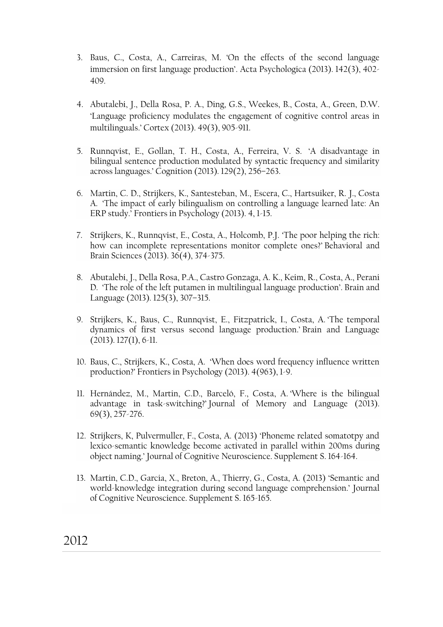- 3. Baus, C., Costa, A., Carreiras, M. 'On the effects of the second language immersion on first language production'. Acta Psychologica (2013). 142(3), 402- 409.
- 4. Abutalebi, J., Della Rosa, P. A., Ding, G.S., Weekes, B., Costa, A., Green, D.W. 'Language proficiency modulates the engagement of cognitive control areas in multilinguals.' Cortex (2013). 49(3), 905-911.
- 5. Runnqvist, E., Gollan, T. H., Costa, A., Ferreira, V. S. '[A disadvantage in](http://www.spb.upf.edu/node/496)  [bilingual sentence production modulated by syntactic frequency and similarity](http://www.spb.upf.edu/node/496)  [across languages.](http://www.spb.upf.edu/node/496)' Cognition (2013). 129(2), 256–263.
- 6. Martin, C. D., Strijkers, K., Santesteban, M., Escera, C., Hartsuiker, R. J., Costa A. '[The impact of early bilingualism on controlling a language learned late: An](http://www.icrea.cat/Web/Publications.aspx)  [ERP study.](http://www.icrea.cat/Web/Publications.aspx)' Frontiers in Psychology (2013). 4, 1-15.
- 7. Strijkers, K., Runnqvist, E., Costa, A., Holcomb, P.J. '[The poor helping the rich:](http://www.spb.upf.edu/node/498)  [how can incomplete representations monitor complete ones?](http://www.spb.upf.edu/node/498)' Behavioral and Brain Sciences (2013). 36(4), 374-375.
- 8. Abutalebi, J., Della Rosa, P.A., Castro Gonzaga, A. K., Keim, R., Costa, A., Perani D. '[The role of the left putamen in multilingual language production](http://www.spb.upf.edu/node/434)'. Brain and Language (2013). 125(3), 307–315.
- 9. Strijkers, K., Baus, C., Runnqvist, E., Fitzpatrick, I., Costa, A. '[The temporal](http://www.spb.upf.edu/node/442)  [dynamics of first versus second language production.](http://www.spb.upf.edu/node/442)' Brain and Language  $(2013)$ . 127 $(1)$ , 6-11.
- 10. Baus, C., Strijkers, K., Costa, A. '[When does word frequency influence written](http://www.spb.upf.edu/node/509)  [production?](http://www.spb.upf.edu/node/509)' Frontiers in Psychology (2013). 4(963), 1-9.
- 11. Hernández, M., Martin, C.D., Barceló, F., Costa, A. '[Where is the bilingual](http://www.icrea.cat/Web/Publications.aspx)  [advantage in task-switching?](http://www.icrea.cat/Web/Publications.aspx)' Journal of Memory and Language (2013). 69(3), 257-276.
- 12. Strijkers, K, Pulvermuller, F., Costa, A. (2013) 'Phoneme related somatotpy and lexico-semantic knowledge become activated in parallel within 200ms during object naming.' Journal of Cognitive Neuroscience. Supplement S. 164-164.
- 13. Martin, C.D., Garcia, X., Breton, A., Thierry, G., Costa, A. (2013) 'Semantic and world-knowledge integration during second language comprehension.' Journal of Cognitive Neuroscience. Supplement S. 165-165.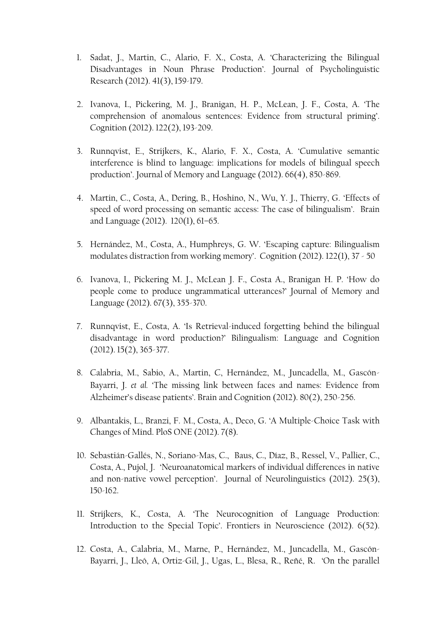- 1. Sadat, J., Martin, C., Alario, F. X., Costa, A. 'Characterizing the Bilingual Disadvantages in Noun Phrase Production'. Journal of Psycholinguistic Research (2012). 41(3), 159-179.
- 2. Ivanova, I., Pickering, M. J., Branigan, H. P., McLean, J. F., Costa, A. 'The comprehension of anomalous sentences: Evidence from structural priming'. Cognition (2012). 122(2), 193-209.
- 3. Runnqvist, E., Strijkers, K., Alario, F. X., Costa, A. 'Cumulative semantic interference is blind to language: implications for models of bilingual speech production'. Journal of Memory and Language (2012). 66(4), 850-869.
- 4. Martin, C., Costa, A., Dering, B., Hoshino, N., Wu, Y. J., Thierry, G. 'Effects of speed of word processing on semantic access: The case of bilingualism'. Brain and Language (2012). 120(1), 61–65.
- 5. Hernández, M., Costa, A., Humphreys, G. W. 'Escaping capture: Bilingualism modulates distraction from working memory'. Cognition (2012). 122(1), 37 - 50
- 6. Ivanova, I., Pickering M. J., McLean J. F., Costa A., Branigan H. P. 'How do people come to produce ungrammatical utterances?' Journal of Memory and Language (2012). 67(3), 355-370.
- 7. Runnqvist, E., Costa, A. 'Is Retrieval-induced forgetting behind the bilingual disadvantage in word production?' Bilingualism: Language and Cognition (2012). 15(2), 365-377.
- 8. Calabria, M., Sabio, A., Martin, C, Hernández, M., Juncadella, M., Gascón-Bayarri, J. *et al.* 'The missing link between faces and names: Evidence from Alzheimer's disease patients'. Brain and Cognition (2012). 80(2), 250-256.
- 9. Albantakis, L., Branzi, F. M., Costa, A., Deco, G. 'A Multiple-Choice Task with Changes of Mind. PloS ONE (2012). 7(8).
- 10. Sebastián-Gallés, N., Soriano-Mas, C., Baus, C., Díaz, B., Ressel, V., Pallier, C., Costa, A., Pujol, J. 'Neuroanatomical markers of individual differences in native and non-native vowel perception'. Journal of Neurolinguistics (2012). 25(3), 150-162.
- 11. Strijkers, K., Costa, A. 'The Neurocognition of Language Production: Introduction to the Special Topic'. Frontiers in Neuroscience (2012). 6(52).
- 12. Costa, A., Calabria, M., Marne, P., Hernández, M., Juncadella, M., Gascón-Bayarri, J., Lleó, A, Ortiz-Gil, J., Ugas, L., Blesa, R., Reñé, R. 'On the parallel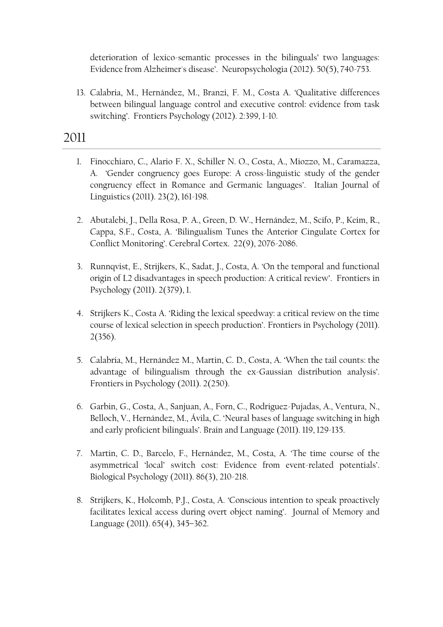deterioration of lexico-semantic processes in the bilinguals' two languages: Evidence from Alzheimer's disease'. Neuropsychologia (2012). 50(5), 740-753.

13. Calabria, M., Hernández, M., Branzi, F. M., Costa A. 'Qualitative differences between bilingual language control and executive control: evidence from task switching'. Frontiers Psychology (2012). 2:399, 1-10.

- 1. Finocchiaro, C., Alario F. X., Schiller N. O., Costa, A., Miozzo, M., Caramazza, A. 'Gender congruency goes Europe: A cross-linguistic study of the gender congruency effect in Romance and Germanic languages'. Italian Journal of Linguistics (2011). 23(2), 161-198.
- 2. Abutalebi, J., Della Rosa, P. A., Green, D. W., Hernández, M., Scifo, P., Keim, R., Cappa, S.F., Costa, A. 'Bilingualism Tunes the Anterior Cingulate Cortex for Conflict Monitoring'. Cerebral Cortex. 22(9), 2076-2086.
- 3. Runnqvist, E., Strijkers, K., Sadat, J., Costa, A. 'On the temporal and functional origin of L2 disadvantages in speech production: A critical review'. Frontiers in Psychology (2011). 2(379), 1.
- 4. Strijkers K., Costa A. 'Riding the lexical speedway: a critical review on the time course of lexical selection in speech production'. Frontiers in Psychology (2011). 2(356).
- 5. Calabria, M., Hernández M., Martin, C. D., Costa, A. 'When the tail counts: the advantage of bilingualism through the ex-Gaussian distribution analysis'. Frontiers in Psychology (2011). 2(250).
- 6. Garbin, G., Costa, A., Sanjuan, A., Forn, C., Rodriguez-Pujadas, A., Ventura, N., Belloch, V., Hernández, M., Ávila, C. 'Neural bases of language switching in high and early proficient bilinguals'. Brain and Language (2011). 119, 129-135.
- 7. Martin, C. D., Barcelo, F., Hernández, M., Costa, A. 'The time course of the asymmetrical 'local' switch cost: Evidence from event-related potentials'. Biological Psychology (2011). 86(3), 210-218.
- 8. Strijkers, K., Holcomb, P.J., Costa, A. 'Conscious intention to speak proactively facilitates lexical access during overt object naming'. Journal of Memory and Language (2011). 65(4), 345–362.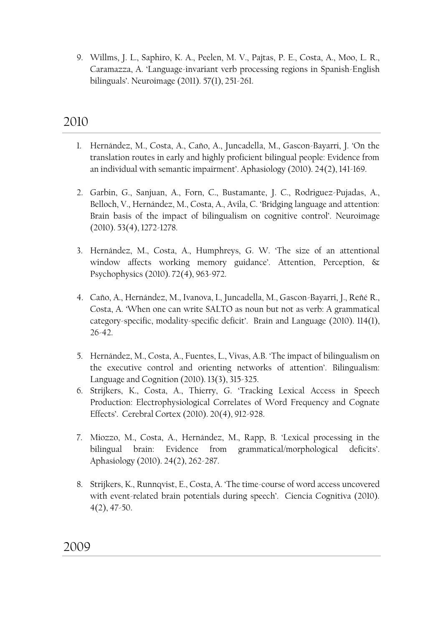9. Willms, J. L., Saphiro, K. A., Peelen, M. V., Pajtas, P. E., Costa, A., Moo, L. R., Caramazza, A. 'Language-invariant verb processing regions in Spanish-English bilinguals'. Neuroimage (2011). 57(1), 251-261.

- 1. Hernández, M., Costa, A., Caño, A., Juncadella, M., Gascon-Bayarri, J. 'On the translation routes in early and highly proficient bilingual people: Evidence from an individual with semantic impairment'. Aphasiology (2010). 24(2), 141-169.
- 2. Garbin, G., Sanjuan, A., Forn, C., Bustamante, J. C., Rodriguez-Pujadas, A., Belloch, V., Hernández, M., Costa, A., Avila, C. 'Bridging language and attention: Brain basis of the impact of bilingualism on cognitive control'. Neuroimage (2010). 53(4), 1272-1278.
- 3. Hernández, M., Costa, A., Humphreys, G. W. 'The size of an attentional window affects working memory guidance'. Attention, Perception, & Psychophysics (2010). 72(4), 963-972.
- 4. Caño, A., Hernández, M., Ivanova, I., Juncadella, M., Gascon-Bayarri, J., Reñé R., Costa, A. 'When one can write SALTO as noun but not as verb: A grammatical category-specific, modality-specific deficit'. Brain and Language (2010). 114(1), 26-42.
- 5. Hernández, M., Costa, A., Fuentes, L., Vivas, A.B. 'The impact of bilingualism on the executive control and orienting networks of attention'. Bilingualism: Language and Cognition (2010). 13(3), 315-325.
- 6. Strijkers, K., Costa, A., Thierry, G. 'Tracking Lexical Access in Speech Production: Electrophysiological Correlates of Word Frequency and Cognate Effects'. Cerebral Cortex (2010). 20(4), 912-928.
- 7. Miozzo, M., Costa, A., Hernández, M., Rapp, B. 'Lexical processing in the bilingual brain: Evidence from grammatical/morphological deficits'. Aphasiology (2010). 24(2), 262-287.
- 8. Strijkers, K., Runnqvist, E., Costa, A. 'The time-course of word access uncovered with event-related brain potentials during speech'. Ciencia Cognitiva (2010). 4(2), 47-50.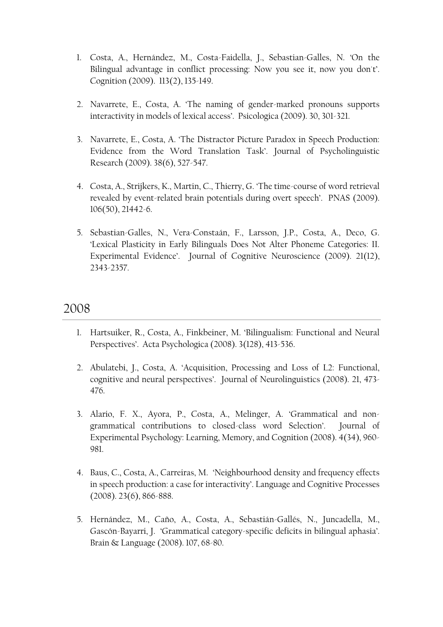- 1. Costa, A., Hernández, M., Costa-Faidella, J., Sebastian-Galles, N. 'On the Bilingual advantage in conflict processing: Now you see it, now you don't'. Cognition (2009). 113(2), 135-149.
- 2. Navarrete, E., Costa, A. 'The naming of gender-marked pronouns supports interactivity in models of lexical access'. Psicologica (2009). 30, 301-321.
- 3. Navarrete, E., Costa, A. 'The Distractor Picture Paradox in Speech Production: Evidence from the Word Translation Task'. Journal of Psycholinguistic Research (2009). 38(6), 527-547.
- 4. Costa, A., Strijkers, K., Martin, C., Thierry, G. 'The time-course of word retrieval revealed by event-related brain potentials during overt speech'. PNAS (2009). 106(50), 21442-6.
- 5. Sebastian-Galles, N., Vera-Constaán, F., Larsson, J.P., Costa, A., Deco, G. 'Lexical Plasticity in Early Bilinguals Does Not Alter Phoneme Categories: II. Experimental Evidence'. Journal of Cognitive Neuroscience (2009). 21(12), 2343-2357.

- 1. Hartsuiker, R., Costa, A., Finkbeiner, M. 'Bilingualism: Functional and Neural Perspectives'. Acta Psychologica (2008). 3(128), 413-536.
- 2. Abulatebi, J., Costa, A. 'Acquisition, Processing and Loss of L2: Functional, cognitive and neural perspectives'. Journal of Neurolinguistics (2008). 21, 473- 476.
- 3. Alario, F. X., Ayora, P., Costa, A., Melinger, A. 'Grammatical and nongrammatical contributions to closed-class word Selection'. Journal of Experimental Psychology: Learning, Memory, and Cognition (2008). 4(34), 960- 981.
- 4. Baus, C., Costa, A., Carreiras, M. 'Neighbourhood density and frequency effects in speech production: a case for interactivity'. Language and Cognitive Processes (2008). 23(6), 866-888.
- 5. Hernández, M., Caño, A., Costa, A., Sebastián-Gallés, N., Juncadella, M., Gascón-Bayarri, J. 'Grammatical category-specific deficits in bilingual aphasia'. Brain & Language (2008). 107, 68-80.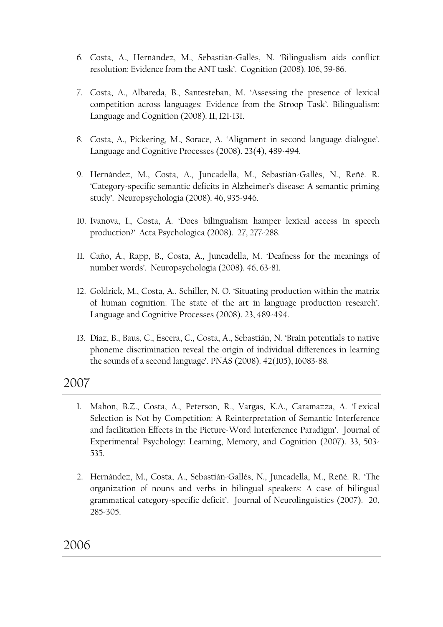- 6. Costa, A., Hernández, M., Sebastián-Gallés, N. 'Bilingualism aids conflict resolution: Evidence from the ANT task'. Cognition (2008). 106, 59-86.
- 7. Costa, A., Albareda, B., Santesteban, M. 'Assessing the presence of lexical competition across languages: Evidence from the Stroop Task'. Bilingualism: Language and Cognition (2008). 11, 121-131.
- 8. Costa, A., Pickering, M., Sorace, A. 'Alignment in second language dialogue'. Language and Cognitive Processes (2008). 23(4), 489-494.
- 9. Hernández, M., Costa, A., Juncadella, M., Sebastián-Gallés, N., Reñé. R. 'Category-specific semantic deficits in Alzheimer's disease: A semantic priming study'. Neuropsychologia (2008). 46, 935-946.
- 10. Ivanova, I., Costa, A. 'Does bilingualism hamper lexical access in speech production?' Acta Psychologica (2008). 27, 277-288.
- 11. Caño, A., Rapp, B., Costa, A., Juncadella, M. 'Deafness for the meanings of number words'. Neuropsychologia (2008). 46, 63-81.
- 12. Goldrick, M., Costa, A., Schiller, N. O. 'Situating production within the matrix of human cognition: The state of the art in language production research'. Language and Cognitive Processes (2008). 23, 489-494.
- 13. Díaz, B., Baus, C., Escera, C., Costa, A., Sebastián, N. 'Brain potentials to native phoneme discrimination reveal the origin of individual differences in learning the sounds of a second language'. PNAS (2008). 42(105), 16083-88.

- 1. Mahon, B.Z., Costa, A., Peterson, R., Vargas, K.A., Caramazza, A. 'Lexical Selection is Not by Competition: A Reinterpretation of Semantic Interference and facilitation Effects in the Picture-Word Interference Paradigm'. Journal of Experimental Psychology: Learning, Memory, and Cognition (2007). 33, 503- 535.
- 2. Hernández, M., Costa, A., Sebastián-Gallés, N., Juncadella, M., Reñé. R. 'The organization of nouns and verbs in bilingual speakers: A case of bilingual grammatical category-specific deficit'. Journal of Neurolinguistics (2007). 20, 285-305.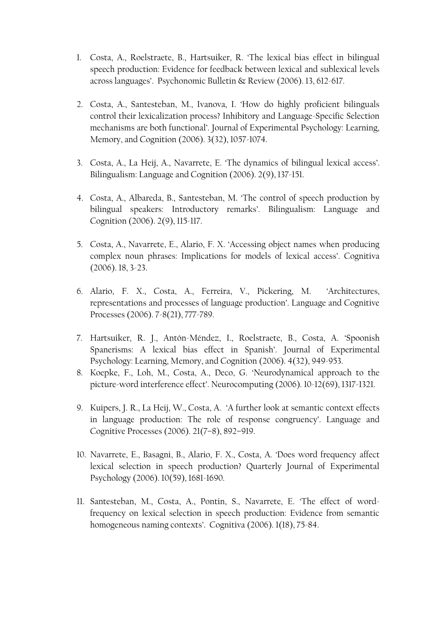- 1. Costa, A., Roelstraete, B., Hartsuiker, R. 'The lexical bias effect in bilingual speech production: Evidence for feedback between lexical and sublexical levels across languages'. Psychonomic Bulletin & Review (2006). 13, 612-617.
- 2. Costa, A., Santesteban, M., Ivanova, I. 'How do highly proficient bilinguals control their lexicalization process? Inhibitory and Language-Specific Selection mechanisms are both functional'. Journal of Experimental Psychology: Learning, Memory, and Cognition (2006). 3(32), 1057-1074.
- 3. Costa, A., La Heij, A., Navarrete, E. 'The dynamics of bilingual lexical access'. Bilingualism: Language and Cognition (2006). 2(9), 137-151.
- 4. Costa, A., Albareda, B., Santesteban, M. 'The control of speech production by bilingual speakers: Introductory remarks'. Bilingualism: Language and Cognition (2006). 2(9), 115-117.
- 5. Costa, A., Navarrete, E., Alario, F. X. 'Accessing object names when producing complex noun phrases: Implications for models of lexical access'. Cognitiva (2006). 18, 3-23.
- 6. Alario, F. X., Costa, A., Ferreira, V., Pickering, M. 'Architectures, representations and processes of language production'. Language and Cognitive Processes (2006). 7-8(21), 777-789.
- 7. Hartsuiker, R. J., Antón-Méndez, I., Roelstraete, B., Costa, A. 'Spoonish Spanerisms: A lexical bias effect in Spanish'. Journal of Experimental Psychology: Learning, Memory, and Cognition (2006). 4(32), 949-953.
- 8. Koepke, F., Loh, M., Costa, A., Deco, G. 'Neurodynamical approach to the picture-word interference effect'. Neurocomputing (2006). 10-12(69), 1317-1321.
- 9. Kuipers, J. R., La Heij, W., Costa, A. 'A further look at semantic context effects in language production: The role of response congruency'. Language and Cognitive Processes (2006). 21(7–8), 892–919.
- 10. Navarrete, E., Basagni, B., Alario, F. X., Costa, A. 'Does word frequency affect lexical selection in speech production? Quarterly Journal of Experimental Psychology (2006). 10(59), 1681-1690.
- 11. Santesteban, M., Costa, A., Pontin, S., Navarrete, E. 'The effect of wordfrequency on lexical selection in speech production: Evidence from semantic homogeneous naming contexts'. Cognitiva (2006). 1(18), 75-84.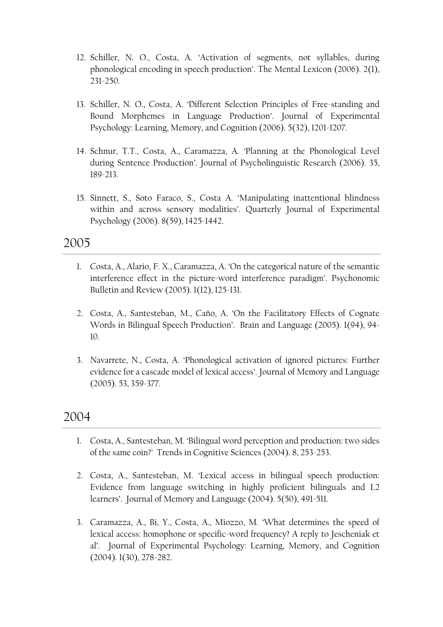- 12. Schiller, N. O., Costa, A. 'Activation of segments, not syllables, during phonological encoding in speech production'. The Mental Lexicon (2006). 2(1), 231-250.
- 13. Schiller, N. O., Costa, A. 'Different Selection Principles of Free-standing and Bound Morphemes in Language Production'. Journal of Experimental Psychology: Learning, Memory, and Cognition (2006). 5(32), 1201-1207.
- 14. Schnur, T.T., Costa, A., Caramazza, A. 'Planning at the Phonological Level during Sentence Production'. Journal of Psycholinguistic Research (2006). 35, 189-213.
- 15. Sinnett, S., Soto Faraco, S., Costa A. 'Manipulating inattentional blindness within and across sensory modalities'. Quarterly Journal of Experimental Psychology (2006). 8(59), 1425-1442.

- 1. Costa, A., Alario, F. X., Caramazza, A. 'On the categorical nature of the semantic interference effect in the picture-word interference paradigm'. Psychonomic Bulletin and Review (2005). 1(12), 125-131.
- 2. Costa, A., Santesteban, M., Caño, A. 'On the Facilitatory Effects of Cognate Words in Bilingual Speech Production'. Brain and Language (2005). 1(94), 94- 10.
- 3. Navarrete, N., Costa, A. 'Phonological activation of ignored pictures: Further evidence for a cascade model of lexical access'. Journal of Memory and Language (2005). 53, 359-377.

- 1. Costa, A., Santesteban, M. 'Bilingual word perception and production: two sides of the same coin?' Trends in Cognitive Sciences (2004). 8, 253-253.
- 2. Costa, A., Santesteban, M. 'Lexical access in bilingual speech production: Evidence from language switching in highly proficient bilinguals and L2 learners'. Journal of Memory and Language (2004). 5(50), 491-511.
- 3. Caramazza, A., Bi, Y., Costa, A., Miozzo, M. 'What determines the speed of lexical access: homophone or specific-word frequency? A reply to Jescheniak et al'. Journal of Experimental Psychology: Learning, Memory, and Cognition (2004). 1(30), 278-282.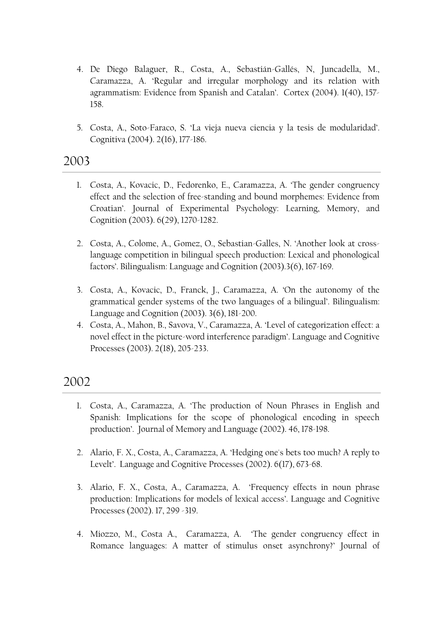- 4. De Diego Balaguer, R., Costa, A., Sebastián-Gallés, N, Juncadella, M., Caramazza, A. 'Regular and irregular morphology and its relation with agrammatism: Evidence from Spanish and Catalan'. Cortex (2004). 1(40), 157- 158.
- 5. Costa, A., Soto-Faraco, S. 'La vieja nueva ciencia y la tesis de modularidad'. Cognitiva (2004). 2(16), 177-186.

- 1. Costa, A., Kovacic, D., Fedorenko, E., Caramazza, A. 'The gender congruency effect and the selection of free-standing and bound morphemes: Evidence from Croatian'. Journal of Experimental Psychology: Learning, Memory, and Cognition (2003). 6(29), 1270-1282.
- 2. Costa, A., Colome, A., Gomez, O., Sebastian-Galles, N. 'Another look at crosslanguage competition in bilingual speech production: Lexical and phonological factors'. Bilingualism: Language and Cognition (2003).3(6), 167-169.
- 3. Costa, A., Kovacic, D., Franck, J., Caramazza, A. 'On the autonomy of the grammatical gender systems of the two languages of a bilingual'. Bilingualism: Language and Cognition (2003). 3(6), 181-200.
- 4. Costa, A., Mahon, B., Savova, V., Caramazza, A. 'Level of categorization effect: a novel effect in the picture-word interference paradigm'. Language and Cognitive Processes (2003). 2(18), 205-233.

- 1. Costa, A., Caramazza, A. 'The production of Noun Phrases in English and Spanish: Implications for the scope of phonological encoding in speech production'. Journal of Memory and Language (2002). 46, 178-198.
- 2. Alario, F. X., Costa, A., Caramazza, A. 'Hedging one's bets too much? A reply to Levelt'. Language and Cognitive Processes (2002). 6(17), 673-68.
- 3. Alario, F. X., Costa, A., Caramazza, A. 'Frequency effects in noun phrase production: Implications for models of lexical access'. Language and Cognitive Processes (2002). 17, 299 -319.
- 4. Miozzo, M., Costa A., Caramazza, A. 'The gender congruency effect in Romance languages: A matter of stimulus onset asynchrony?' Journal of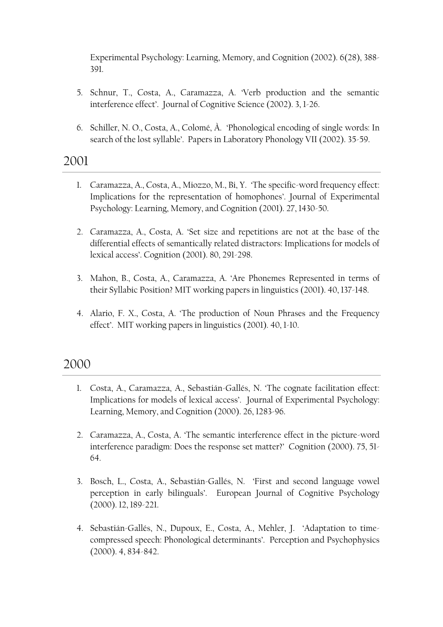Experimental Psychology: Learning, Memory, and Cognition (2002). 6(28), 388- 391.

- 5. Schnur, T., Costa, A., Caramazza, A. 'Verb production and the semantic interference effect'. Journal of Cognitive Science (2002). 3, 1-26.
- 6. Schiller, N. O., Costa, A., Colomé, À. 'Phonological encoding of single words: In search of the lost syllable'. Papers in Laboratory Phonology VII (2002). 35-59.

#### 2001

- 1. Caramazza, A., Costa, A., Miozzo, M., Bi, Y. 'The specific-word frequency effect: Implications for the representation of homophones'. Journal of Experimental Psychology: Learning, Memory, and Cognition (2001). 27, 1430-50.
- 2. Caramazza, A., Costa, A. 'Set size and repetitions are not at the base of the differential effects of semantically related distractors: Implications for models of lexical access'. Cognition (2001). 80, 291-298.
- 3. Mahon, B., Costa, A., Caramazza, A. 'Are Phonemes Represented in terms of their Syllabic Position? MIT working papers in linguistics (2001). 40, 137-148.
- 4. Alario, F. X., Costa, A. 'The production of Noun Phrases and the Frequency effect'. MIT working papers in linguistics (2001). 40, 1-10.

- 1. Costa, A., Caramazza, A., Sebastián-Gallés, N. 'The cognate facilitation effect: Implications for models of lexical access'. Journal of Experimental Psychology: Learning, Memory, and Cognition (2000). 26, 1283-96.
- 2. Caramazza, A., Costa, A. 'The semantic interference effect in the picture-word interference paradigm: Does the response set matter?' Cognition (2000). 75, 51- 64.
- 3. Bosch, L., Costa, A., Sebastián-Gallés, N. 'First and second language vowel perception in early bilinguals'. European Journal of Cognitive Psychology (2000). 12, 189-221.
- 4. Sebastián-Gallés, N., Dupoux, E., Costa, A., Mehler, J. 'Adaptation to timecompressed speech: Phonological determinants'. Perception and Psychophysics (2000). 4, 834-842.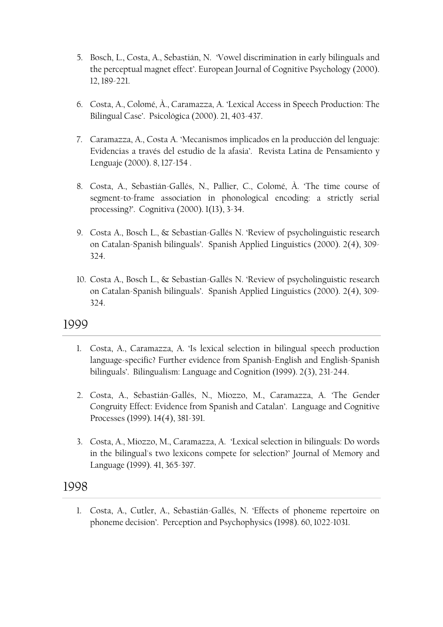- 5. Bosch, L., Costa, A., Sebastián, N. 'Vowel discrimination in early bilinguals and the perceptual magnet effect'. European Journal of Cognitive Psychology (2000). 12, 189-221.
- 6. Costa, A., Colomé, À., Caramazza, A. 'Lexical Access in Speech Production: The Bilingual Case'. Psicológica (2000). 21, 403-437.
- 7. Caramazza, A., Costa A. 'Mecanismos implicados en la producción del lenguaje: Evidencias a través del estudio de la afasia'. Revista Latina de Pensamiento y Lenguaje (2000). 8, 127-154 .
- 8. Costa, A., Sebastián-Gallés, N., Pallier, C., Colomé, À. 'The time course of segment-to-frame association in phonological encoding: a strictly serial processing?'. Cognitiva (2000). 1(13), 3-34.
- 9. Costa A., Bosch L., & Sebastian-Gallés N. 'Review of psycholinguistic research on Catalan-Spanish bilinguals'. Spanish Applied Linguistics (2000). 2(4), 309- 324.
- 10. Costa A., Bosch L., & Sebastian-Gallés N. 'Review of psycholinguistic research on Catalan-Spanish bilinguals'. Spanish Applied Linguistics (2000). 2(4), 309- 324.

- 1. Costa, A., Caramazza, A. 'Is lexical selection in bilingual speech production language-specific? Further evidence from Spanish-English and English-Spanish bilinguals'. Bilingualism: Language and Cognition (1999). 2(3), 231-244.
- 2. Costa, A., Sebastián-Gallés, N., Miozzo, M., Caramazza, A. 'The Gender Congruity Effect: Evidence from Spanish and Catalan'. Language and Cognitive Processes (1999). 14(4), 381-391.
- 3. Costa, A., Miozzo, M., Caramazza, A. 'Lexical selection in bilinguals: Do words in the bilingual's two lexicons compete for selection?' Journal of Memory and Language (1999). 41, 365-397.

#### 1998

1. Costa, A., Cutler, A., Sebastián-Gallés, N. 'Effects of phoneme repertoire on phoneme decision'. Perception and Psychophysics (1998). 60, 1022-1031.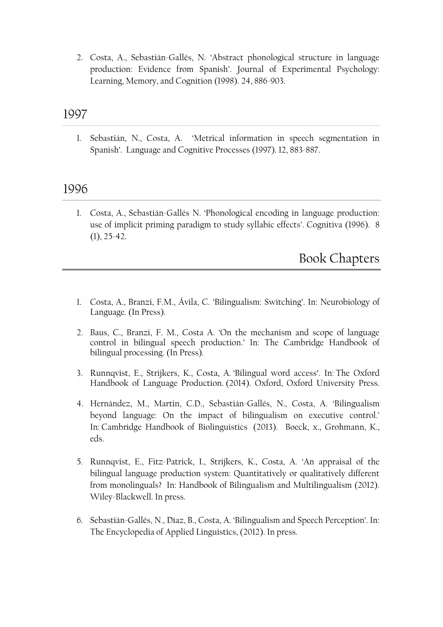2. Costa, A., Sebastián-Gallés, N. 'Abstract phonological structure in language production: Evidence from Spanish'. Journal of Experimental Psychology: Learning, Memory, and Cognition (1998). 24, 886-903.

### 1997

1. Sebastián, N., Costa, A. 'Metrical information in speech segmentation in Spanish'. Language and Cognitive Processes (1997). 12, 883-887.

### 1996

1. Costa, A., Sebastián-Gallés N. 'Phonological encoding in language production: use of implicit priming paradigm to study syllabic effects'. Cognitiva (1996). 8  $(1), 25-42.$ 

Book Chapters

- 1. Costa, A., Branzi, F.M., Ávila, C. 'Bilingualism: Switching'. In: Neurobiology of Language. (In Press).
- 2. Baus, C., Branzi, F. M., Costa A. 'On the mechanism and scope of language control in bilingual speech production.' In: The Cambridge Handbook of bilingual processing. (In Press).
- 3. Runnqvist, E., Strijkers, K., Costa, A. '[Bilingual word access](http://www.spb.upf.edu/node/286)'. In: The Oxford Handbook of Language Production. (2014). Oxford, Oxford University Press.
- 4. Hernández, M., Martin, C.D., Sebastián-Gallés, N., Costa, A. '[Bilingualism](http://www.spb.upf.edu/node/353)  [beyond language: On the impact of bilingualism on executive control.](http://www.spb.upf.edu/node/353)' In: Cambridge Handbook of Biolinguistics (2013). Boeck, x., Grohmann, K., eds.
- 5. Runnqvist, E., Fitz-Patrick, I., Strijkers, K., Costa, A. 'An appraisal of the bilingual language production system: Quantitatively or qualitatively different from monolinguals? In: Handbook of Bilingualism and Multilingualism (2012). Wiley-Blackwell. In press.
- 6. Sebastián-Gallés, N., Díaz, B., Costa, A. 'Bilingualism and Speech Perception'. In: The Encyclopedia of Applied Linguistics, (2012). In press.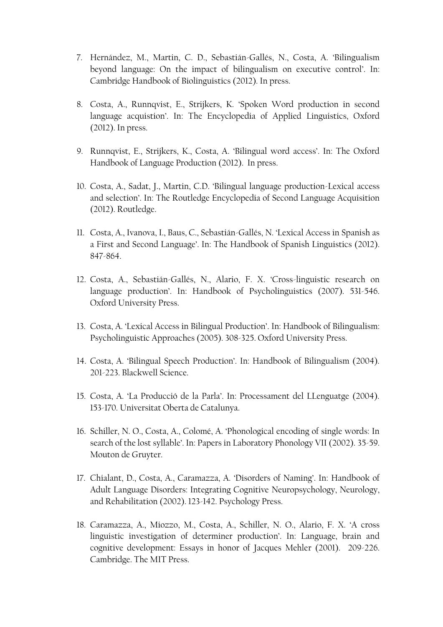- 7. Hernández, M., Martin, C. D., Sebastián-Gallés, N., Costa, A. 'Bilingualism beyond language: On the impact of bilingualism on executive control'. In: Cambridge Handbook of Biolinguistics (2012). In press.
- 8. Costa, A., Runnqvist, E., Strijkers, K. 'Spoken Word production in second language acquistion'. In: The Encyclopedia of Applied Linguistics, Oxford (2012). In press.
- 9. Runnqvist, E., Strijkers, K., Costa, A. 'Bilingual word access'. In: The Oxford Handbook of Language Production (2012). In press.
- 10. Costa, A., Sadat, J., Martin, C.D. 'Bilingual language production-Lexical access and selection'. In: The Routledge Encyclopedia of Second Language Acquisition (2012). Routledge.
- 11. Costa, A., Ivanova, I., Baus, C., Sebastián-Gallés, N. 'Lexical Access in Spanish as a First and Second Language'. In: The Handbook of Spanish Linguistics (2012). 847-864.
- 12. Costa, A., Sebastián-Gallés, N., Alario, F. X. 'Cross-linguistic research on language production'. In: Handbook of Psycholinguistics (2007). 531-546. Oxford University Press.
- 13. Costa, A. 'Lexical Access in Bilingual Production'. In: Handbook of Bilingualism: Psycholinguistic Approaches (2005). 308-325. Oxford University Press.
- 14. Costa, A. 'Bilingual Speech Production'. In: Handbook of Bilingualism (2004). 201-223. Blackwell Science.
- 15. Costa, A. 'La Producció de la Parla'. In: Processament del LLenguatge (2004). 153-170. Universitat Oberta de Catalunya.
- 16. Schiller, N. O., Costa, A., Colomé, A. 'Phonological encoding of single words: In search of the lost syllable'. In: Papers in Laboratory Phonology VII (2002). 35-59. Mouton de Gruyter.
- 17. Chialant, D., Costa, A., Caramazza, A. 'Disorders of Naming'. In: Handbook of Adult Language Disorders: Integrating Cognitive Neuropsychology, Neurology, and Rehabilitation (2002). 123-142. Psychology Press.
- 18. Caramazza, A., Miozzo, M., Costa, A., Schiller, N. O., Alario, F. X. 'A cross linguistic investigation of determiner production'. In: Language, brain and cognitive development: Essays in honor of Jacques Mehler (2001). 209-226. Cambridge. The MIT Press.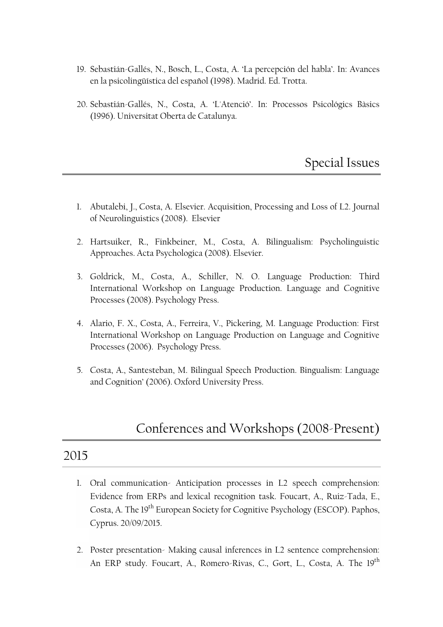- 19. Sebastián-Gallés, N., Bosch, L., Costa, A. 'La percepción del habla'. In: Avances en la psicolingüística del español (1998). Madrid. Ed. Trotta.
- 20. Sebastián-Gallés, N., Costa, A. 'L'Atenció'. In: Processos Psicológics Bàsics (1996). Universitat Oberta de Catalunya.

Special Issues

- 1. Abutalebi, J., Costa, A. Elsevier. Acquisition, Processing and Loss of L2. Journal of Neurolinguistics (2008). Elsevier
- 2. Hartsuiker, R., Finkbeiner, M., Costa, A. Bilingualism: Psycholinguistic Approaches. Acta Psychologica (2008). Elsevier.
- 3. Goldrick, M., Costa, A., Schiller, N. O. Language Production: Third International Workshop on Language Production. Language and Cognitive Processes (2008). Psychology Press.
- 4. Alario, F. X., Costa, A., Ferreira, V., Pickering, M. Language Production: First International Workshop on Language Production on Language and Cognitive Processes (2006). Psychology Press.
- 5. Costa, A., Santesteban, M. Bilingual Speech Production. Bingualism: Language and Cognition' (2006). Oxford University Press.

## Conferences and Workshops (2008-Present)

- 1. Oral communication- Anticipation processes in L2 speech comprehension: Evidence from ERPs and lexical recognition task. Foucart, A., Ruiz-Tada, E., Costa, A. The 19<sup>th</sup> European Society for Cognitive Psychology (ESCOP). Paphos, Cyprus. 20/09/2015.
- 2. Poster presentation- Making causal inferences in L2 sentence comprehension: An ERP study. Foucart, A., Romero-Rivas, C., Gort, L., Costa, A. The 19<sup>th</sup>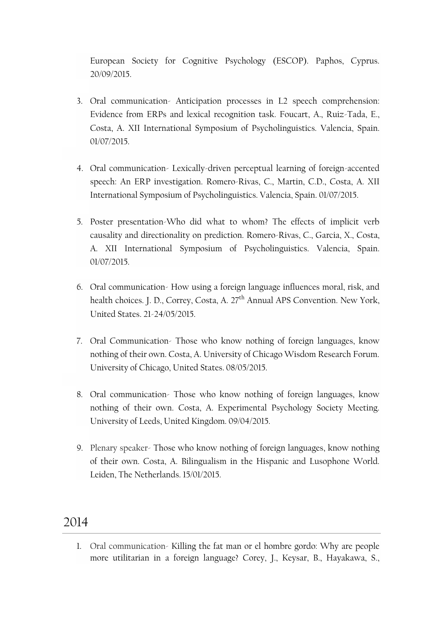European Society for Cognitive Psychology (ESCOP). Paphos, Cyprus. 20/09/2015.

- 3. Oral communication- Anticipation processes in L2 speech comprehension: Evidence from ERPs and lexical recognition task. Foucart, A., Ruiz-Tada, E., Costa, A. XII International Symposium of Psycholinguistics. Valencia, Spain. 01/07/2015.
- 4. Oral communication- Lexically-driven perceptual learning of foreign-accented speech: An ERP investigation. Romero-Rivas, C., Martin, C.D., Costa, A. XII International Symposium of Psycholinguistics. Valencia, Spain. 01/07/2015.
- 5. Poster presentation-Who did what to whom? The effects of implicit verb causality and directionality on prediction. Romero-Rivas, C., Garcia, X., Costa, A. XII International Symposium of Psycholinguistics. Valencia, Spain. 01/07/2015.
- 6. Oral communication- How using a foreign language influences moral, risk, and health choices. J. D., Correy, Costa, A. 27<sup>th</sup> Annual APS Convention. New York, United States. 21-24/05/2015.
- 7. Oral Communication- Those who know nothing of foreign languages, know nothing of their own. Costa, A. University of Chicago Wisdom Research Forum. University of Chicago, United States. 08/05/2015.
- 8. Oral communication- Those who know nothing of foreign languages, know nothing of their own. Costa, A. Experimental Psychology Society Meeting. University of Leeds, United Kingdom. 09/04/2015.
- 9. Plenary speaker- Those who know nothing of foreign languages, know nothing of their own. Costa, A. Bilingualism in the Hispanic and Lusophone World. Leiden, The Netherlands. 15/01/2015.

#### 2014

1. Oral communication- Killing the fat man or el hombre gordo: Why are people more utilitarian in a foreign language? Corey, J., Keysar, B., Hayakawa, S.,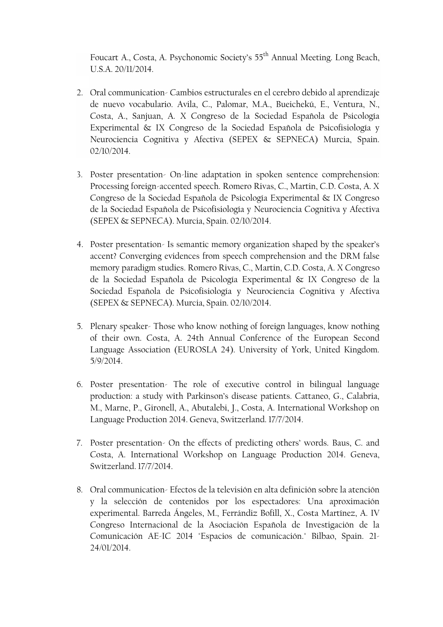Foucart A., Costa, A. Psychonomic Society's 55<sup>th</sup> Annual Meeting. Long Beach, U.S.A. 20/11/2014.

- 2. Oral communication- Cambios estructurales en el cerebro debido al aprendizaje de nuevo vocabulario. Avila, C., Palomar, M.A., Bueichekú, E., Ventura, N., Costa, A., Sanjuan, A. X Congreso de la Sociedad Española de Psicología Experimental & IX Congreso de la Sociedad Española de Psicofisiología y Neurociencia Cognitiva y Afectiva (SEPEX & SEPNECA) Murcia, Spain. 02/10/2014.
- 3. Poster presentation- On-line adaptation in spoken sentence comprehension: Processing foreign-accented speech. Romero Rivas, C., Martin, C.D. Costa, A. X Congreso de la Sociedad Española de Psicología Experimental & IX Congreso de la Sociedad Española de Psicofisiología y Neurociencia Cognitiva y Afectiva (SEPEX & SEPNECA). Murcia, Spain. 02/10/2014.
- 4. Poster presentation- Is semantic memory organization shaped by the speaker's accent? Converging evidences from speech comprehension and the DRM false memory paradigm studies. Romero Rivas, C., Martin, C.D. Costa, A. X Congreso de la Sociedad Española de Psicología Experimental & IX Congreso de la Sociedad Española de Psicofisiología y Neurociencia Cognitiva y Afectiva (SEPEX & SEPNECA). Murcia, Spain. 02/10/2014.
- 5. Plenary speaker- Those who know nothing of foreign languages, know nothing of their own. Costa, A. 24th Annual Conference of the European Second Language Association (EUROSLA 24). University of York, United Kingdom. 5/9/2014.
- 6. Poster presentation- The role of executive control in bilingual language production: a study with Parkinson's disease patients. Cattaneo, G., Calabria, M., Marne, P., Gironell, A., Abutalebi, J., Costa, A. International Workshop on Language Production 2014. Geneva, Switzerland. 17/7/2014.
- 7. Poster presentation- On the effects of predicting others' words. Baus, C. and Costa, A. International Workshop on Language Production 2014. Geneva, Switzerland. 17/7/2014.
- 8. Oral communication- Efectos de la televisión en alta definición sobre la atención y la selección de contenidos por los espectadores: Una aproximación experimental. Barreda Ángeles, M., Ferrándiz Bofill, X., Costa Martínez, A. IV Congreso Internacional de la Asociación Española de Investigación de la Comunicación AE-IC 2014 "Espacios de comunicación." Bilbao, Spain. 21- 24/01/2014.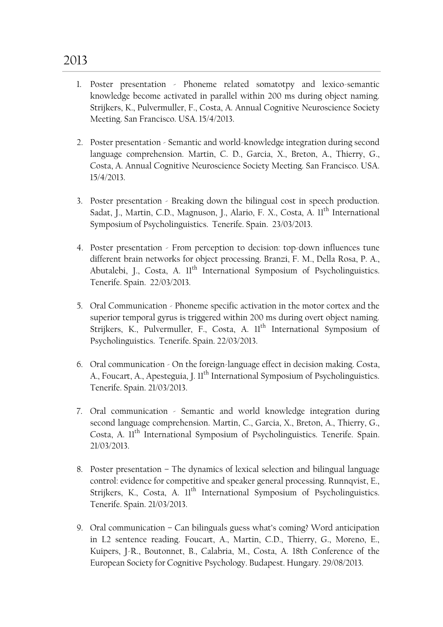- 1. Poster presentation Phoneme related somatotpy and lexico-semantic knowledge become activated in parallel within 200 ms during object naming. Strijkers, K., Pulvermuller, F., Costa, A. Annual Cognitive Neuroscience Society Meeting. San Francisco. USA. 15/4/2013.
- 2. Poster presentation Semantic and world-knowledge integration during second language comprehension. Martin, C. D., Garcia, X., Breton, A., Thierry, G., Costa, A. Annual Cognitive Neuroscience Society Meeting. San Francisco. USA. 15/4/2013.
- 3. Poster presentation Breaking down the bilingual cost in speech production. Sadat, J., Martin, C.D., Magnuson, J., Alario, F. X., Costa, A. Il<sup>th</sup> International Symposium of Psycholinguistics. Tenerife. Spain. 23/03/2013.
- 4. Poster presentation From perception to decision: top-down influences tune different brain networks for object processing. Branzi, F. M., Della Rosa, P. A., Abutalebi, J., Costa, A. 11<sup>th</sup> International Symposium of Psycholinguistics. Tenerife. Spain. 22/03/2013.
- 5. Oral Communication Phoneme specific activation in the motor cortex and the superior temporal gyrus is triggered within 200 ms during overt object naming. Strijkers, K., Pulvermuller, F., Costa, A. 11<sup>th</sup> International Symposium of Psycholinguistics. Tenerife. Spain. 22/03/2013.
- 6. Oral communication On the foreign-language effect in decision making. Costa, A., Foucart, A., Apesteguia, J. 11<sup>th</sup> International Symposium of Psycholinguistics. Tenerife. Spain. 21/03/2013.
- 7. Oral communication Semantic and world knowledge integration during second language comprehension. Martin, C., Garcia, X., Breton, A., Thierry, G., Costa, A. Il<sup>th</sup> International Symposium of Psycholinguistics. Tenerife. Spain. 21/03/2013.
- 8. Poster presentation The dynamics of lexical selection and bilingual language control: evidence for competitive and speaker general processing. Runnqvist, E., Strijkers, K., Costa, A. II<sup>th</sup> International Symposium of Psycholinguistics. Tenerife. Spain. 21/03/2013.
- 9. Oral communication Can bilinguals guess what's coming? Word anticipation in L2 sentence reading. Foucart, A., Martin, C.D., Thierry, G., Moreno, E., Kuipers, J-R., Boutonnet, B., Calabria, M., Costa, A. 18th Conference of the European Society for Cognitive Psychology. Budapest. Hungary. 29/08/2013.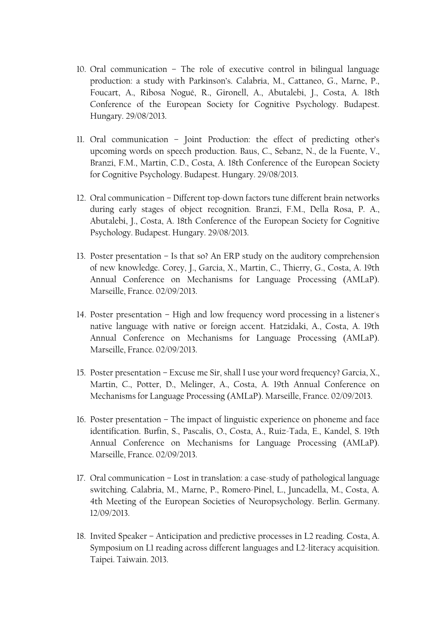- 10. Oral communication The role of executive control in bilingual language production: a study with Parkinson's. Calabria, M., Cattaneo, G., Marne, P., Foucart, A., Ribosa Nogué, R., Gironell, A., Abutalebi, J., Costa, A. 18th Conference of the European Society for Cognitive Psychology. Budapest. Hungary. 29/08/2013.
- 11. Oral communication Joint Production: the effect of predicting other's upcoming words on speech production. Baus, C., Sebanz, N., de la Fuente, V., Branzi, F.M., Martin, C.D., Costa, A. 18th Conference of the European Society for Cognitive Psychology. Budapest. Hungary. 29/08/2013.
- 12. Oral communication Different top-down factors tune different brain networks during early stages of object recognition. Branzi, F.M., Della Rosa, P. A., Abutalebi, J., Costa, A. 18th Conference of the European Society for Cognitive Psychology. Budapest. Hungary. 29/08/2013.
- 13. Poster presentation Is that so? An ERP study on the auditory comprehension of new knowledge. Corey, J., Garcia, X., Martin, C., Thierry, G., Costa, A. 19th Annual Conference on Mechanisms for Language Processing (AMLaP). Marseille, France. 02/09/2013.
- 14. Poster presentation High and low frequency word processing in a listener's native language with native or foreign accent. Hatzidaki, A., Costa, A. 19th Annual Conference on Mechanisms for Language Processing (AMLaP). Marseille, France. 02/09/2013.
- 15. Poster presentation Excuse me Sir, shall I use your word frequency? Garcia, X., Martin, C., Potter, D., Melinger, A., Costa, A. 19th Annual Conference on Mechanisms for Language Processing (AMLaP). Marseille, France. 02/09/2013.
- 16. Poster presentation The impact of linguistic experience on phoneme and face identification. Burfin, S., Pascalis, O., Costa, A., Ruiz-Tada, E., Kandel, S. 19th Annual Conference on Mechanisms for Language Processing (AMLaP). Marseille, France. 02/09/2013.
- 17. Oral communication Lost in translation: a case-study of pathological language switching. Calabria, M., Marne, P., Romero-Pinel, L., Juncadella, M., Costa, A. 4th Meeting of the European Societies of Neuropsychology. Berlin. Germany. 12/09/2013.
- 18. Invited Speaker Anticipation and predictive processes in L2 reading. Costa, A. Symposium on L1 reading across different languages and L2-literacy acquisition. Taipei. Taiwain. 2013.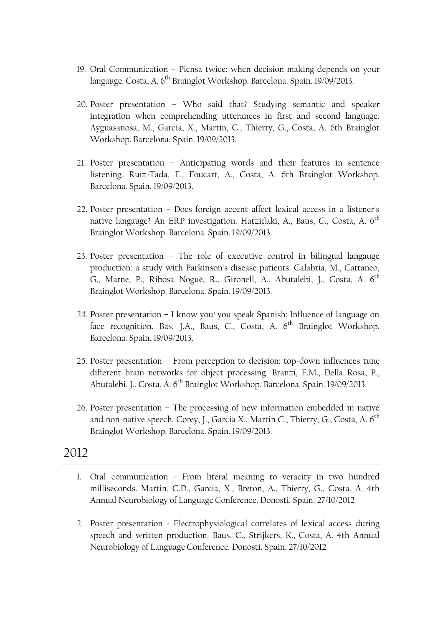- 19. Oral Communication Piensa twice: when decision making depends on your langauge. Costa, A. 6<sup>th</sup> Brainglot Workshop. Barcelona. Spain. 19/09/2013.
- 20. Poster presentation Who said that? Studying semantic and speaker integration when comprehending utterances in first and second language. Ayguasanosa, M., Garcia, X., Martin, C., Thierry, G., Costa, A. 6th Brainglot Workshop. Barcelona. Spain. 19/09/2013.
- 21. Poster presentation Anticipating words and their features in sentence listening. Ruiz-Tada, E., Foucart, A., Costa, A. 6th Brainglot Workshop. Barcelona. Spain. 19/09/2013.
- 22. Poster presentation Does foreign accent affect lexical access in a listener's native langauge? An ERP investigation. Hatzidaki, A., Baus, C., Costa, A. 6<sup>th</sup> Brainglot Workshop. Barcelona. Spain. 19/09/2013.
- 23. Poster presentation The role of executive control in bilingual langauge production: a study with Parkinson's disease patients. Calabria, M., Cattaneo, G., Marne, P., Ribosa Nogué, R., Gironell, A., Abutalebi, J., Costa, A. 6<sup>th</sup> Brainglot Workshop. Barcelona. Spain. 19/09/2013.
- 24. Poster presentation I know you! you speak Spanish: Influence of language on face recognition. Bas, J.A., Baus, C., Costa, A. 6<sup>th</sup> Brainglot Workshop. Barcelona. Spain. 19/09/2013.
- 25. Poster presentation From perception to decision: top-down influences tune different brain networks for object processing. Branzi, F.M., Della Rosa, P., Abutalebi, J., Costa, A. 6<sup>th</sup> Brainglot Workshop. Barcelona. Spain. 19/09/2013.
- 26. Poster presentation The processing of new information embedded in native and non-native speech. Corey, J., Garcia X., Martin C., Thierry, G., Costa, A.  $6^{th}$ Brainglot Workshop. Barcelona. Spain. 19/09/2013.

- 1. Oral communication From literal meaning to veracity in two hundred milliseconds. Martin, C.D., Garcia, X., Breton, A., Thierry, G., Costa, A. 4th Annual Neurobiology of Language Conference. Donosti. Spain. 27/10/2012
- 2. Poster presentation Electrophysiological correlates of lexical access during speech and written production. Baus, C., Strijkers, K., Costa, A. 4th Annual Neurobiology of Language Conference. Donosti. Spain. 27/10/2012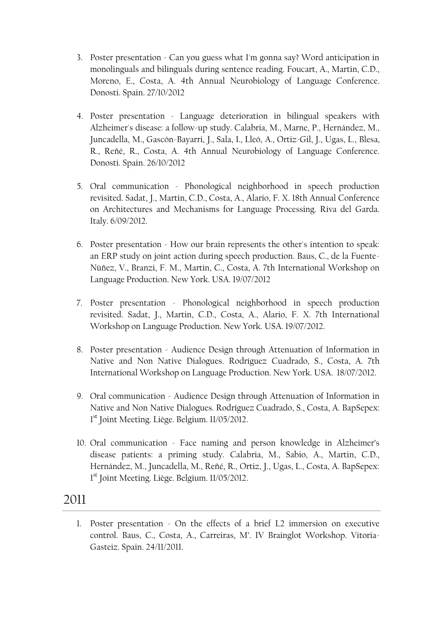- 3. Poster presentation Can you guess what I'm gonna say? Word anticipation in monolinguals and bilinguals during sentence reading. Foucart, A., Martin, C.D., Moreno, E., Costa, A. 4th Annual Neurobiology of Language Conference. Donosti. Spain. 27/10/2012
- 4. Poster presentation Language deterioration in bilingual speakers with Alzheimer's disease: a follow-up study. Calabria, M., Marne, P., Hernández, M., Juncadella, M., Gascón-Bayarri, J., Sala, I., Lleó, A., Ortiz-Gil, J., Ugas, L., Blesa, R., Reñé, R., Costa, A. 4th Annual Neurobiology of Language Conference. Donosti. Spain. 26/10/2012
- 5. Oral communication Phonological neighborhood in speech production revisited. Sadat, J., Martin, C.D., Costa, A., Alario, F. X. 18th Annual Conference on Architectures and Mechanisms for Language Processing. Riva del Garda. Italy. 6/09/2012.
- 6. Poster presentation How our brain represents the other's intention to speak: an ERP study on joint action during speech production. Baus, C., de la Fuente-Núñez, V., Branzi, F. M., Martin, C., Costa, A. 7th International Workshop on Language Production. New York. USA. 19/07/2012
- 7. Poster presentation Phonological neighborhood in speech production revisited. Sadat, J., Martin, C.D., Costa, A., Alario, F. X. 7th International Workshop on Language Production. New York. USA. 19/07/2012.
- 8. Poster presentation Audience Design through Attenuation of Information in Native and Non Native Dialogues. Rodríguez Cuadrado, S., Costa, A. 7th International Workshop on Language Production. New York. USA. 18/07/2012.
- 9. Oral communication Audience Design through Attenuation of Information in Native and Non Native Dialogues. Rodríguez Cuadrado, S., Costa, A. BapSepex: 1<sup>st</sup> Joint Meeting. Liège. Belgium. 11/05/2012.
- 10. Oral communication Face naming and person knowledge in Alzheimer's disease patients: a priming study. Calabria, M., Sabio, A., Martin, C.D., Hernández, M., Juncadella, M., Reñé, R., Ortiz, J., Ugas, L., Costa, A. BapSepex: 1<sup>st</sup> Joint Meeting. Liège. Belgium. 11/05/2012.

1. Poster presentation - On the effects of a brief L2 immersion on executive control. Baus, C., Costa, A., Carreiras, M'. IV Brainglot Workshop. Vitoria-Gasteiz. Spain. 24/11/2011.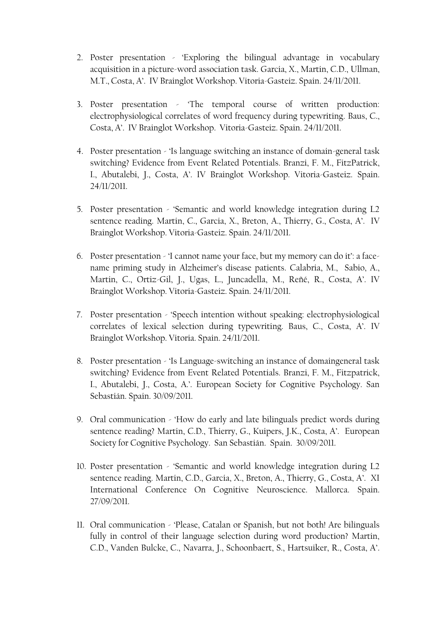- 2. Poster presentation 'Exploring the bilingual advantage in vocabulary acquisition in a picture-word association task. Garcia, X., Martin, C.D., Ullman, M.T., Costa, A'. IV Brainglot Workshop. Vitoria-Gasteiz. Spain. 24/11/2011.
- 3. Poster presentation 'The temporal course of written production: electrophysiological correlates of word frequency during typewriting. Baus, C., Costa, A'. IV Brainglot Workshop. Vitoria-Gasteiz. Spain. 24/11/2011.
- 4. Poster presentation 'Is language switching an instance of domain-general task switching? Evidence from Event Related Potentials. Branzi, F. M., FitzPatrick, I., Abutalebi, J., Costa, A'. IV Brainglot Workshop. Vitoria-Gasteiz. Spain. 24/11/2011.
- 5. Poster presentation 'Semantic and world knowledge integration during L2 sentence reading. Martin, C., Garcia, X., Breton, A., Thierry, G., Costa, A'. IV Brainglot Workshop. Vitoria-Gasteiz. Spain. 24/11/2011.
- 6. Poster presentation 'I cannot name your face, but my memory can do it': a facename priming study in Alzheimer's disease patients. Calabria, M., Sabio, A., Martin, C., Ortiz-Gil, J., Ugas, L., Juncadella, M., Reñé, R., Costa, A'. IV Brainglot Workshop. Vitoria-Gasteiz. Spain. 24/11/2011.
- 7. Poster presentation 'Speech intention without speaking: electrophysiological correlates of lexical selection during typewriting. Baus, C., Costa, A'. IV Brainglot Workshop. Vitoria. Spain. 24/11/2011.
- 8. Poster presentation 'Is Language-switching an instance of domaingeneral task switching? Evidence from Event Related Potentials. Branzi, F. M., Fitzpatrick, I., Abutalebi, J., Costa, A.'. European Society for Cognitive Psychology. San Sebastián. Spain. 30/09/2011.
- 9. Oral communication 'How do early and late bilinguals predict words during sentence reading? Martin, C.D., Thierry, G., Kuipers, J.K., Costa, A'. European Society for Cognitive Psychology. San Sebastián. Spain. 30/09/2011.
- 10. Poster presentation 'Semantic and world knowledge integration during L2 sentence reading. Martin, C.D., Garcia, X., Breton, A., Thierry, G., Costa, A'. XI International Conference On Cognitive Neuroscience. Mallorca. Spain. 27/09/2011.
- 11. Oral communication 'Please, Catalan or Spanish, but not both! Are bilinguals fully in control of their language selection during word production? Martin, C.D., Vanden Bulcke, C., Navarra, J., Schoonbaert, S., Hartsuiker, R., Costa, A'.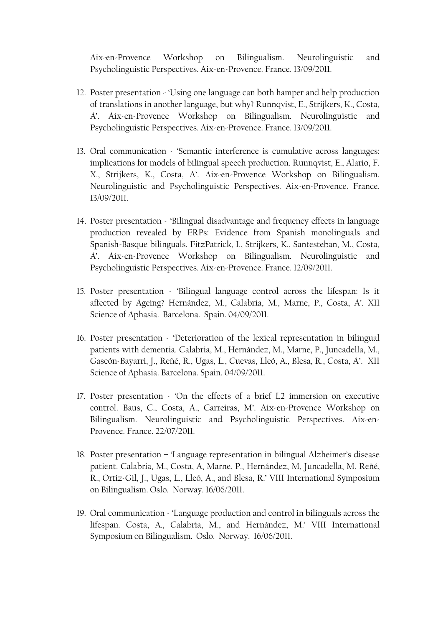Aix-en-Provence Workshop on Bilingualism. Neurolinguistic and Psycholinguistic Perspectives. Aix-en-Provence. France. 13/09/2011.

- 12. Poster presentation 'Using one language can both hamper and help production of translations in another language, but why? Runnqvist, E., Strijkers, K., Costa, A'. Aix-en-Provence Workshop on Bilingualism. Neurolinguistic and Psycholinguistic Perspectives. Aix-en-Provence. France. 13/09/2011.
- 13. Oral communication 'Semantic interference is cumulative across languages: implications for models of bilingual speech production. Runnqvist, E., Alario, F. X., Strijkers, K., Costa, A'. Aix-en-Provence Workshop on Bilingualism. Neurolinguistic and Psycholinguistic Perspectives. Aix-en-Provence. France. 13/09/2011.
- 14. Poster presentation 'Bilingual disadvantage and frequency effects in language production revealed by ERPs: Evidence from Spanish monolinguals and Spanish-Basque bilinguals. FitzPatrick, I., Strijkers, K., Santesteban, M., Costa, A'. Aix-en-Provence Workshop on Bilingualism. Neurolinguistic and Psycholinguistic Perspectives. Aix-en-Provence. France. 12/09/2011.
- 15. Poster presentation 'Bilingual language control across the lifespan: Is it affected by Ageing? Hernández, M., Calabria, M., Marne, P., Costa, A'. XII Science of Aphasia. Barcelona. Spain. 04/09/2011.
- 16. Poster presentation 'Deterioration of the lexical representation in bilingual patients with dementia. Calabria, M., Hernández, M., Marne, P., Juncadella, M., Gascón-Bayarri, J., Reñé, R., Ugas, L., Cuevas, Lleó, A., Blesa, R., Costa, A'. XII Science of Aphasia. Barcelona. Spain. 04/09/2011.
- 17. Poster presentation 'On the effects of a brief L2 immersion on executive control. Baus, C., Costa, A., Carreiras, M'. Aix-en-Provence Workshop on Bilingualism. Neurolinguistic and Psycholinguistic Perspectives. Aix-en-Provence. France. 22/07/2011.
- 18. Poster presentation 'Language representation in bilingual Alzheimer's disease patient. Calabria, M., Costa, A, Marne, P., Hernández, M, Juncadella, M, Reñé, R., Ortiz-Gil, J., Ugas, L., Lleó, A., and Blesa, R.' VIII International Symposium on Bilingualism. Oslo. Norway. 16/06/2011.
- 19. Oral communication 'Language production and control in bilinguals across the lifespan. Costa, A., Calabria, M., and Hernández, M.' VIII International Symposium on Bilingualism. Oslo. Norway. 16/06/2011.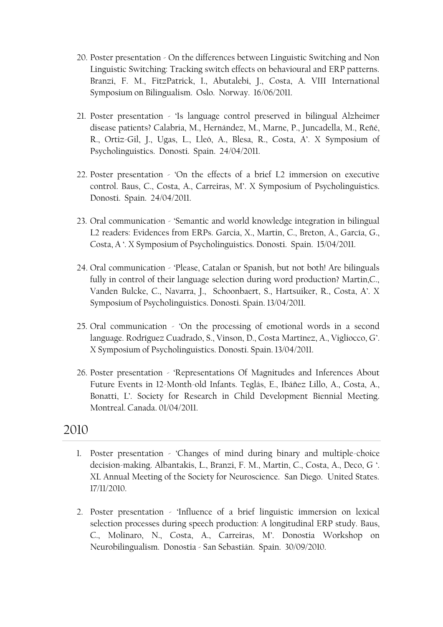- 20. Poster presentation On the differences between Linguistic Switching and Non Linguistic Switching: Tracking switch effects on behavioural and ERP patterns. Branzi, F. M., FitzPatrick, I., Abutalebi, J., Costa, A. VIII International Symposium on Bilingualism. Oslo. Norway. 16/06/2011.
- 21. Poster presentation 'Is language control preserved in bilingual Alzheimer disease patients? Calabria, M., Hernández, M., Marne, P., Juncadella, M., Reñé, R., Ortiz-Gil, J., Ugas, L., Lleó, A., Blesa, R., Costa, A'. X Symposium of Psycholinguistics. Donosti. Spain. 24/04/2011.
- 22. Poster presentation 'On the effects of a brief L2 immersion on executive control. Baus, C., Costa, A., Carreiras, M'. X Symposium of Psycholinguistics. Donosti. Spain. 24/04/2011.
- 23. Oral communication 'Semantic and world knowledge integration in bilingual L2 readers: Evidences from ERPs. Garcia, X., Martin, C., Breton, A., García, G., Costa, A '. X Symposium of Psycholinguistics. Donosti. Spain. 15/04/2011.
- 24. Oral communication 'Please, Catalan or Spanish, but not both! Are bilinguals fully in control of their language selection during word production? Martin,C., Vanden Bulcke, C., Navarra, J., Schoonbaert, S., Hartsuiker, R., Costa, A'. X Symposium of Psycholinguistics. Donosti. Spain. 13/04/2011.
- 25. Oral communication 'On the processing of emotional words in a second language. Rodríguez Cuadrado, S., Vinson, D., Costa Martínez, A., Vigliocco, G'. X Symposium of Psycholinguistics. Donosti. Spain. 13/04/2011.
- 26. Poster presentation 'Representations Of Magnitudes and Inferences About Future Events in 12-Month-old Infants. Teglás, E., Ibáñez Lillo, A., Costa, A., Bonatti, L'. Society for Research in Child Development Biennial Meeting. Montreal. Canada. 01/04/2011.

- 1. Poster presentation 'Changes of mind during binary and multiple-choice decision-making. Albantakis, L., Branzi, F. M., Martin, C., Costa, A., Deco, G '. XL Annual Meeting of the Society for Neuroscience. San Diego. United States. 17/11/2010.
- 2. Poster presentation 'Influence of a brief linguistic immersion on lexical selection processes during speech production: A longitudinal ERP study. Baus, C., Molinaro, N., Costa, A., Carreiras, M'. Donostia Workshop on Neurobilingualism. Donostia - San Sebastián. Spain. 30/09/2010.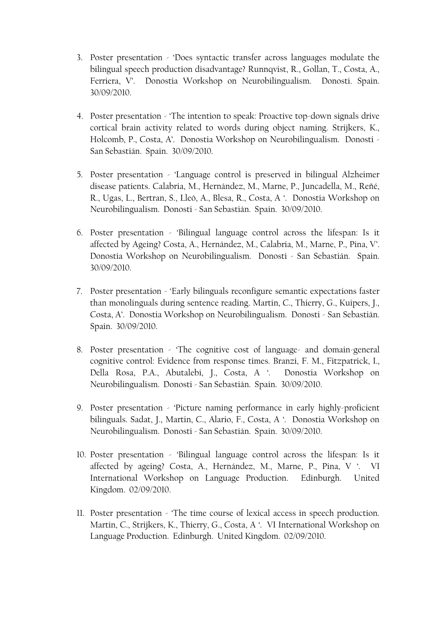- 3. Poster presentation 'Does syntactic transfer across languages modulate the bilingual speech production disadvantage? Runnqvist, R., Gollan, T., Costa, A., Ferriera, V'. Donostia Workshop on Neurobilingualism. Donosti. Spain. 30/09/2010.
- 4. Poster presentation 'The intention to speak: Proactive top-down signals drive cortical brain activity related to words during object naming. Strijkers, K., Holcomb, P., Costa, A'. Donostia Workshop on Neurobilingualism. Donosti - San Sebastián. Spain. 30/09/2010.
- 5. Poster presentation 'Language control is preserved in bilingual Alzheimer disease patients. Calabria, M., Hernández, M., Marne, P., Juncadella, M., Reñé, R., Ugas, L., Bertran, S., Lleó, A., Blesa, R., Costa, A '. Donostia Workshop on Neurobilingualism. Donosti - San Sebastián. Spain. 30/09/2010.
- 6. Poster presentation 'Bilingual language control across the lifespan: Is it affected by Ageing? Costa, A., Hernández, M., Calabria, M., Marne, P., Pina, V'. Donostia Workshop on Neurobilingualism. Donosti - San Sebastián. Spain. 30/09/2010.
- 7. Poster presentation 'Early bilinguals reconfigure semantic expectations faster than monolinguals during sentence reading. Martin, C., Thierry, G., Kuipers, J., Costa, A'. Donostia Workshop on Neurobilingualism. Donosti - San Sebastián. Spain. 30/09/2010.
- 8. Poster presentation 'The cognitive cost of language- and domain-general cognitive control: Evidence from response times. Branzi, F. M., Fitzpatrick, I., Della Rosa, P.A., Abutalebi, J., Costa, A '. Donostia Workshop on Neurobilingualism. Donosti - San Sebastián. Spain. 30/09/2010.
- 9. Poster presentation 'Picture naming performance in early highly-proficient bilinguals. Sadat, J., Martin, C., Alario, F., Costa, A '. Donostia Workshop on Neurobilingualism. Donosti - San Sebastián. Spain. 30/09/2010.
- 10. Poster presentation 'Bilingual language control across the lifespan: Is it affected by ageing? Costa, A., Hernández, M., Marne, P., Pina, V '. VI International Workshop on Language Production. Edinburgh. United Kingdom. 02/09/2010.
- 11. Poster presentation 'The time course of lexical access in speech production. Martin, C., Strijkers, K., Thierry, G., Costa, A '. VI International Workshop on Language Production. Edinburgh. United Kingdom. 02/09/2010.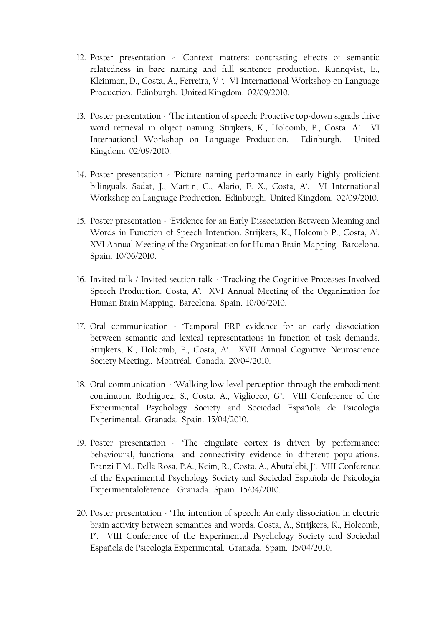- 12. Poster presentation 'Context matters: contrasting effects of semantic relatedness in bare naming and full sentence production. Runnqvist, E., Kleinman, D., Costa, A., Ferreira, V '. VI International Workshop on Language Production. Edinburgh. United Kingdom. 02/09/2010.
- 13. Poster presentation 'The intention of speech: Proactive top-down signals drive word retrieval in object naming. Strijkers, K., Holcomb, P., Costa, A'. VI International Workshop on Language Production. Edinburgh. United Kingdom. 02/09/2010.
- 14. Poster presentation 'Picture naming performance in early highly proficient bilinguals. Sadat, J., Martin, C., Alario, F. X., Costa, A'. VI International Workshop on Language Production. Edinburgh. United Kingdom. 02/09/2010.
- 15. Poster presentation 'Evidence for an Early Dissociation Between Meaning and Words in Function of Speech Intention. Strijkers, K., Holcomb P., Costa, A'. XVI Annual Meeting of the Organization for Human Brain Mapping. Barcelona. Spain. 10/06/2010.
- 16. Invited talk / Invited section talk 'Tracking the Cognitive Processes Involved Speech Production. Costa, A'. XVI Annual Meeting of the Organization for Human Brain Mapping. Barcelona. Spain. 10/06/2010.
- 17. Oral communication 'Temporal ERP evidence for an early dissociation between semantic and lexical representations in function of task demands. Strijkers, K., Holcomb, P., Costa, A'. XVII Annual Cognitive Neuroscience Society Meeting.. Montréal. Canada. 20/04/2010.
- 18. Oral communication 'Walking low level perception through the embodiment continuum. Rodriguez, S., Costa, A., Vigliocco, G'. VIII Conference of the Experimental Psychology Society and Sociedad Española de Psicología Experimental. Granada. Spain. 15/04/2010.
- 19. Poster presentation 'The cingulate cortex is driven by performance: behavioural, functional and connectivity evidence in different populations. Branzi F.M., Della Rosa, P.A., Keim, R., Costa, A., Abutalebi, J'. VIII Conference of the Experimental Psychology Society and Sociedad Española de Psicología Experimentaloference . Granada. Spain. 15/04/2010.
- 20. Poster presentation 'The intention of speech: An early dissociation in electric brain activity between semantics and words. Costa, A., Strijkers, K., Holcomb, P'. VIII Conference of the Experimental Psychology Society and Sociedad Española de Psicología Experimental. Granada. Spain. 15/04/2010.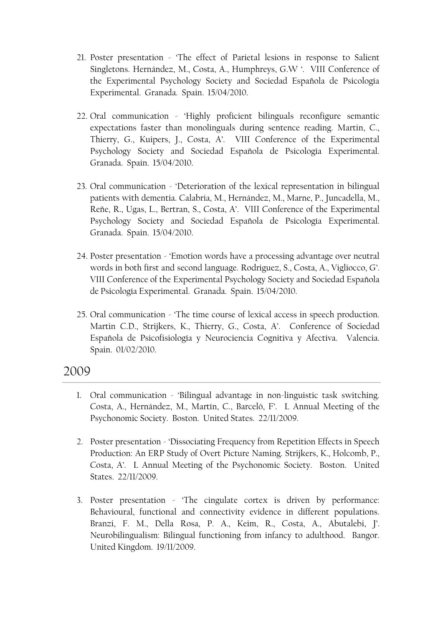- 21. Poster presentation 'The effect of Parietal lesions in response to Salient Singletons. Hernández, M., Costa, A., Humphreys, G.W '. VIII Conference of the Experimental Psychology Society and Sociedad Española de Psicología Experimental. Granada. Spain. 15/04/2010.
- 22. Oral communication 'Highly proficient bilinguals reconfigure semantic expectations faster than monolinguals during sentence reading. Martin, C., Thierry, G., Kuipers, J., Costa, A'. VIII Conference of the Experimental Psychology Society and Sociedad Española de Psicología Experimental. Granada. Spain. 15/04/2010.
- 23. Oral communication 'Deterioration of the lexical representation in bilingual patients with dementia. Calabria, M., Hernández, M., Marne, P., Juncadella, M., Reñe, R., Ugas, L., Bertran, S., Costa, A'. VIII Conference of the Experimental Psychology Society and Sociedad Española de Psicología Experimental. Granada. Spain. 15/04/2010.
- 24. Poster presentation 'Emotion words have a processing advantage over neutral words in both first and second language. Rodriguez, S., Costa, A., Vigliocco, G'. VIII Conference of the Experimental Psychology Society and Sociedad Española de Psicología Experimental. Granada. Spain. 15/04/2010.
- 25. Oral communication 'The time course of lexical access in speech production. Martin C.D., Strijkers, K., Thierry, G., Costa, A'. Conference of Sociedad Española de Psicofisiología y Neurociencia Cognitiva y Afectiva. Valencia. Spain. 01/02/2010.

- 1. Oral communication 'Bilingual advantage in non-linguistic task switching. Costa, A., Hernández, M., Martín, C., Barceló, F'. L Annual Meeting of the Psychonomic Society. Boston. United States. 22/11/2009.
- 2. Poster presentation 'Dissociating Frequency from Repetition Effects in Speech Production: An ERP Study of Overt Picture Naming. Strijkers, K., Holcomb, P., Costa, A'. L Annual Meeting of the Psychonomic Society. Boston. United States. 22/11/2009.
- 3. Poster presentation 'The cingulate cortex is driven by performance: Behavioural, functional and connectivity evidence in different populations. Branzi, F. M., Della Rosa, P. A., Keim, R., Costa, A., Abutalebi, J'. Neurobilingualism: Bilingual functioning from infancy to adulthood. Bangor. United Kingdom. 19/11/2009.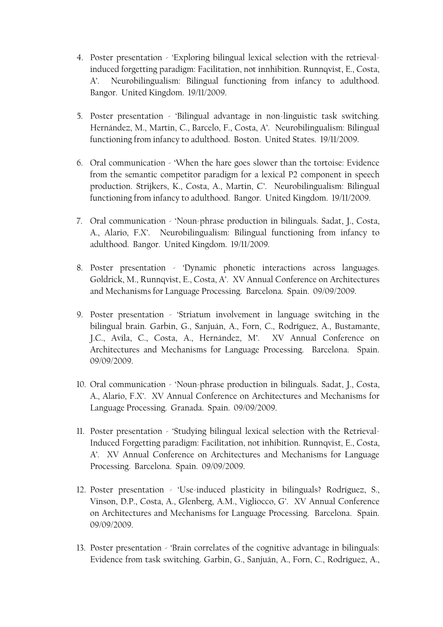- 4. Poster presentation 'Exploring bilingual lexical selection with the retrievalinduced forgetting paradigm: Facilitation, not innhibition. Runnqvist, E., Costa, A'. Neurobilingualism: Bilingual functioning from infancy to adulthood. Bangor. United Kingdom. 19/11/2009.
- 5. Poster presentation 'Bilingual advantage in non-linguistic task switching. Hernández, M., Martin, C., Barcelo, F., Costa, A'. Neurobilingualism: Bilingual functioning from infancy to adulthood. Boston. United States. 19/11/2009.
- 6. Oral communication 'When the hare goes slower than the tortoise: Evidence from the semantic competitor paradigm for a lexical P2 component in speech production. Strijkers, K., Costa, A., Martin, C'. Neurobilingualism: Bilingual functioning from infancy to adulthood. Bangor. United Kingdom. 19/11/2009.
- 7. Oral communication 'Noun-phrase production in bilinguals. Sadat, J., Costa, A., Alario, F.X'. Neurobilingualism: Bilingual functioning from infancy to adulthood. Bangor. United Kingdom. 19/11/2009.
- 8. Poster presentation 'Dynamic phonetic interactions across languages. Goldrick, M., Runnqvist, E., Costa, A'. XV Annual Conference on Architectures and Mechanisms for Language Processing. Barcelona. Spain. 09/09/2009.
- 9. Poster presentation 'Striatum involvement in language switching in the bilingual brain. Garbin, G., Sanjuán, A., Forn, C., Rodríguez, A., Bustamante, J.C., Avila, C., Costa, A., Hernández, M'. XV Annual Conference on Architectures and Mechanisms for Language Processing. Barcelona. Spain. 09/09/2009.
- 10. Oral communication 'Noun-phrase production in bilinguals. Sadat, J., Costa, A., Alario, F.X'. XV Annual Conference on Architectures and Mechanisms for Language Processing. Granada. Spain. 09/09/2009.
- 11. Poster presentation 'Studying bilingual lexical selection with the Retrieval-Induced Forgetting paradigm: Facilitation, not inhibition. Runnqvist, E., Costa, A'. XV Annual Conference on Architectures and Mechanisms for Language Processing. Barcelona. Spain. 09/09/2009.
- 12. Poster presentation 'Use-induced plasticity in bilinguals? Rodríguez, S., Vinson, D.P., Costa, A., Glenberg, A.M., Vigliocco, G'. XV Annual Conference on Architectures and Mechanisms for Language Processing. Barcelona. Spain. 09/09/2009.
- 13. Poster presentation 'Brain correlates of the cognitive advantage in bilinguals: Evidence from task switching. Garbin, G., Sanjuán, A., Forn, C., Rodríguez, A.,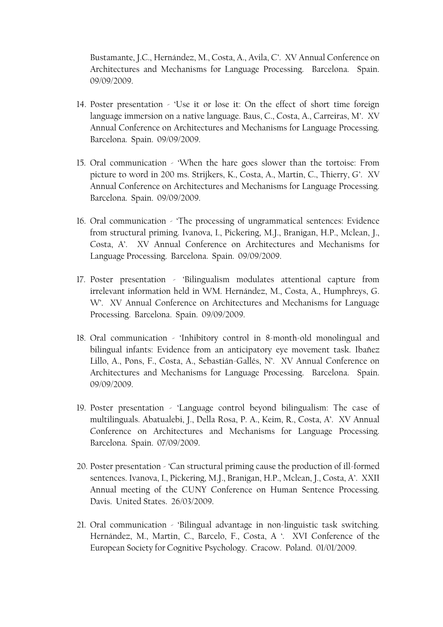Bustamante, J.C., Hernández, M., Costa, A., Avila, C'. XV Annual Conference on Architectures and Mechanisms for Language Processing. Barcelona. Spain. 09/09/2009.

- 14. Poster presentation 'Use it or lose it: On the effect of short time foreign language immersion on a native language. Baus, C., Costa, A., Carreiras, M'. XV Annual Conference on Architectures and Mechanisms for Language Processing. Barcelona. Spain. 09/09/2009.
- 15. Oral communication 'When the hare goes slower than the tortoise: From picture to word in 200 ms. Strijkers, K., Costa, A., Martin, C., Thierry, G'. XV Annual Conference on Architectures and Mechanisms for Language Processing. Barcelona. Spain. 09/09/2009.
- 16. Oral communication 'The processing of ungrammatical sentences: Evidence from structural priming. Ivanova, I., Pickering, M.J., Branigan, H.P., Mclean, J., Costa, A'. XV Annual Conference on Architectures and Mechanisms for Language Processing. Barcelona. Spain. 09/09/2009.
- 17. Poster presentation 'Bilingualism modulates attentional capture from irrelevant information held in WM. Hernández, M., Costa, A., Humphreys, G. W'. XV Annual Conference on Architectures and Mechanisms for Language Processing. Barcelona. Spain. 09/09/2009.
- 18. Oral communication 'Inhibitory control in 8-month-old monolingual and bilingual infants: Evidence from an anticipatory eye movement task. Ibañez Lillo, A., Pons, F., Costa, A., Sebastián-Gallés, N'. XV Annual Conference on Architectures and Mechanisms for Language Processing. Barcelona. Spain. 09/09/2009.
- 19. Poster presentation 'Language control beyond bilingualism: The case of multilinguals. Abatualebi, J., Della Rosa, P. A., Keim, R., Costa, A'. XV Annual Conference on Architectures and Mechanisms for Language Processing. Barcelona. Spain. 07/09/2009.
- 20. Poster presentation 'Can structural priming cause the production of ill-formed sentences. Ivanova, I., Pickering, M.J., Branigan, H.P., Mclean, J., Costa, A'. XXII Annual meeting of the CUNY Conference on Human Sentence Processing. Davis. United States. 26/03/2009.
- 21. Oral communication 'Bilingual advantage in non-linguistic task switching. Hernández, M., Martin, C., Barcelo, F., Costa, A '. XVI Conference of the European Society for Cognitive Psychology. Cracow. Poland. 01/01/2009.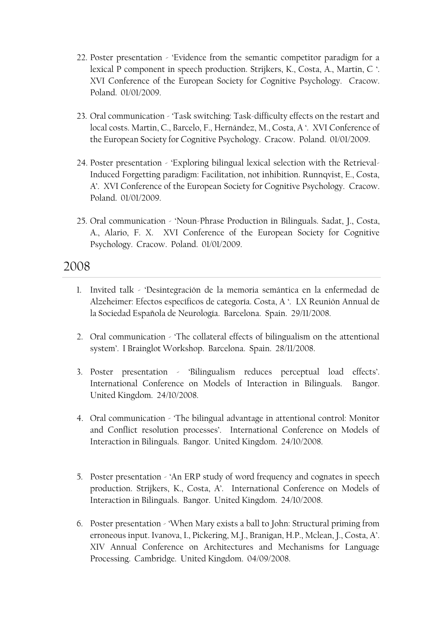- 22. Poster presentation 'Evidence from the semantic competitor paradigm for a lexical P component in speech production. Strijkers, K., Costa, A., Martin, C '. XVI Conference of the European Society for Cognitive Psychology. Cracow. Poland. 01/01/2009.
- 23. Oral communication 'Task switching: Task-difficulty effects on the restart and local costs. Martin, C., Barcelo, F., Hernández, M., Costa, A '. XVI Conference of the European Society for Cognitive Psychology. Cracow. Poland. 01/01/2009.
- 24. Poster presentation 'Exploring bilingual lexical selection with the Retrieval-Induced Forgetting paradigm: Facilitation, not inhibition. Runnqvist, E., Costa, A'. XVI Conference of the European Society for Cognitive Psychology. Cracow. Poland. 01/01/2009.
- 25. Oral communication 'Noun-Phrase Production in Bilinguals. Sadat, J., Costa, A., Alario, F. X. XVI Conference of the European Society for Cognitive Psychology. Cracow. Poland. 01/01/2009.

- 1. Invited talk 'Desintegración de la memoria semántica en la enfermedad de Alzeheimer: Efectos específicos de categoría. Costa, A '. LX Reunión Annual de la Sociedad Española de Neurología. Barcelona. Spain. 29/11/2008.
- 2. Oral communication 'The collateral effects of bilingualism on the attentional system'. I Brainglot Workshop. Barcelona. Spain. 28/11/2008.
- 3. Poster presentation 'Bilingualism reduces perceptual load effects'. International Conference on Models of Interaction in Bilinguals. Bangor. United Kingdom. 24/10/2008.
- 4. Oral communication 'The bilingual advantage in attentional control: Monitor and Conflict resolution processes'. International Conference on Models of Interaction in Bilinguals. Bangor. United Kingdom. 24/10/2008.
- 5. Poster presentation 'An ERP study of word frequency and cognates in speech production. Strijkers, K., Costa, A'. International Conference on Models of Interaction in Bilinguals. Bangor. United Kingdom. 24/10/2008.
- 6. Poster presentation 'When Mary exists a ball to John: Structural priming from erroneous input. Ivanova, I., Pickering, M.J., Branigan, H.P., Mclean, J., Costa, A'. XIV Annual Conference on Architectures and Mechanisms for Language Processing. Cambridge. United Kingdom. 04/09/2008.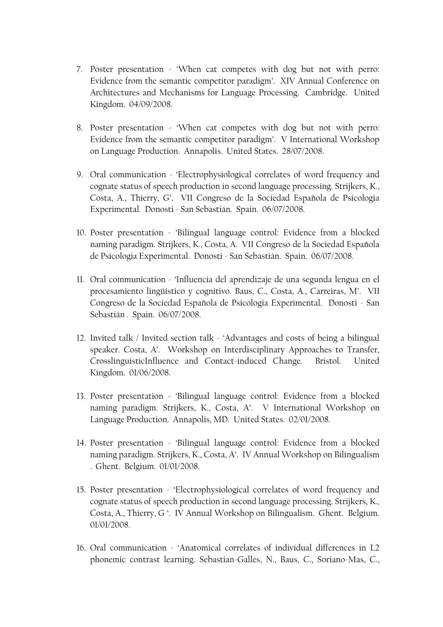- 7. Poster presentation 'When cat competes with dog but not with perro: Evidence from the semantic competitor paradigm'. XIV Annual Conference on Architectures and Mechanisms for Language Processing. Cambridge. United Kingdom. 04/09/2008.
- 8. Poster presentation 'When cat competes with dog but not with perro: Evidence from the semantic competitor paradigm'. V International Workshop on Language Production. Annapolis. United States. 28/07/2008.
- 9. Oral communication 'Electrophysiological correlates of word frequency and cognate status of speech production in second language processing. Strijkers, K., Costa, A., Thierry, G'. VII Congreso de la Sociedad Española de Psicologia Experimental. Donosti - San Sebastián. Spain. 06/07/2008.
- 10. Poster presentation 'Bilingual language control: Evidence from a blocked naming paradigm. Strijkers, K., Costa, A. VII Congreso de la Sociedad Española de Psicologia Experimental. Donosti - San Sebastián. Spain. 06/07/2008.
- 11. Oral communication 'Influencia del aprendizaje de una segunda lengua en el procesamiento lingüístico y cognitivo. Baus, C., Costa, A., Carreiras, M'. VII Congreso de la Sociedad Española de Psicologia Experimental. Donosti - San Sebastián . Spain. 06/07/2008.
- 12. Invited talk / Invited section talk 'Advantages and costs of being a bilingual speaker. Costa, A'. Workshop on Interdisciplinary Approaches to Transfer, CrosslinguisticInfluence and Contact-induced Change. Bristol. United Kingdom. 01/06/2008.
- 13. Poster presentation 'Bilingual language control: Evidence from a blocked naming paradigm. Strijkers, K., Costa, A'. V International Workshop on Language Production. Annapolis, MD. United States. 02/01/2008.
- 14. Poster presentation 'Bilingual language control: Evidence from a blocked naming paradigm. Strijkers, K., Costa, A'. IV Annual Workshop on Bilingualism . Ghent. Belgium. 01/01/2008.
- 15. Poster presentation 'Electrophysiological correlates of word frequency and cognate status of speech production in second language processing. Strijkers, K., Costa, A., Thierry, G '. IV Annual Workshop on Bilingualism. Ghent. Belgium. 01/01/2008.
- 16. Oral communication 'Anatomical correlates of individual differences in L2 phonemic contrast learning. Sebastian-Galles, N., Baus, C., Soriano-Mas, C.,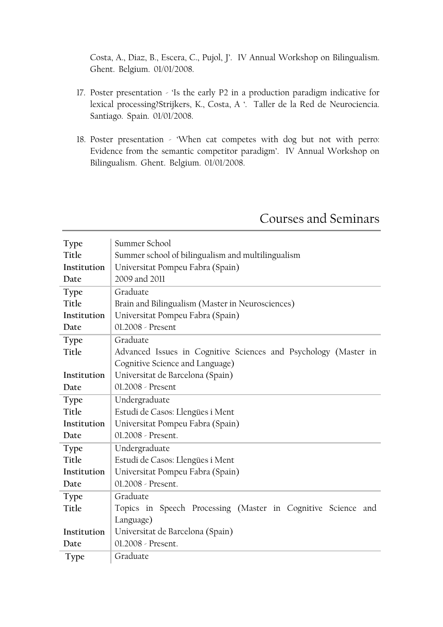Costa, A., Diaz, B., Escera, C., Pujol, J'. IV Annual Workshop on Bilingualism. Ghent. Belgium. 01/01/2008.

- 17. Poster presentation 'Is the early P2 in a production paradigm indicative for lexical processing?Strijkers, K., Costa, A '. Taller de la Red de Neurociencia. Santiago. Spain. 01/01/2008.
- 18. Poster presentation 'When cat competes with dog but not with perro: Evidence from the semantic competitor paradigm'. IV Annual Workshop on Bilingualism. Ghent. Belgium. 01/01/2008.

| Type        | Summer School                                                   |
|-------------|-----------------------------------------------------------------|
| Title       | Summer school of bilingualism and multilingualism               |
|             |                                                                 |
| Institution | Universitat Pompeu Fabra (Spain)                                |
| Date        | 2009 and 2011                                                   |
| Type        | Graduate                                                        |
| Title       | Brain and Bilingualism (Master in Neurosciences)                |
| Institution | Universitat Pompeu Fabra (Spain)                                |
| Date        | 01.2008 - Present                                               |
| Type        | Graduate                                                        |
| Title       | Advanced Issues in Cognitive Sciences and Psychology (Master in |
|             | Cognitive Science and Language)                                 |
| Institution | Universitat de Barcelona (Spain)                                |
| Date        | 01.2008 - Present                                               |
| Type        | Undergraduate                                                   |
| Title       | Estudi de Casos: Llengües i Ment                                |
| Institution | Universitat Pompeu Fabra (Spain)                                |
| Date        | 01.2008 - Present.                                              |
| Type        | Undergraduate                                                   |
| Title       | Estudi de Casos: Llengües i Ment                                |
| Institution | Universitat Pompeu Fabra (Spain)                                |
| Date        | 01.2008 - Present.                                              |
| Type        | Graduate                                                        |
| Title       | Topics in Speech Processing (Master in Cognitive Science and    |
|             | Language)                                                       |
| Institution | Universitat de Barcelona (Spain)                                |
| Date        | 01.2008 - Present.                                              |
| Type        | Graduate                                                        |
|             |                                                                 |

# Courses and Seminars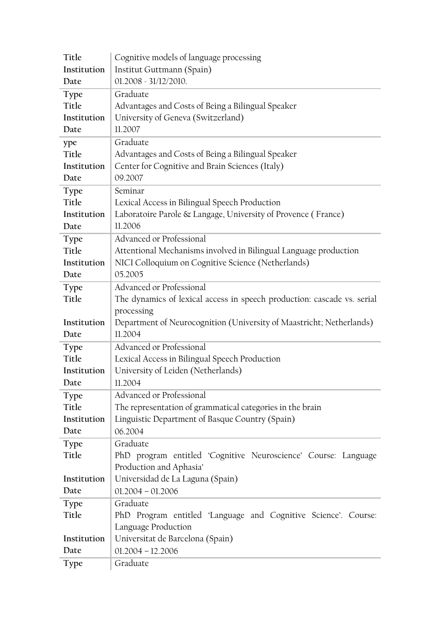| Title       | Cognitive models of language processing                                 |  |  |
|-------------|-------------------------------------------------------------------------|--|--|
| Institution | Institut Guttmann (Spain)                                               |  |  |
| Date        | $01.2008 - 31/12/2010.$                                                 |  |  |
| Type        | Graduate                                                                |  |  |
| Title       | Advantages and Costs of Being a Bilingual Speaker                       |  |  |
| Institution | University of Geneva (Switzerland)                                      |  |  |
| Date        | 11.2007                                                                 |  |  |
| ype         | Graduate                                                                |  |  |
| Title       | Advantages and Costs of Being a Bilingual Speaker                       |  |  |
| Institution | Center for Cognitive and Brain Sciences (Italy)                         |  |  |
| Date        | 09.2007                                                                 |  |  |
| Type        | Seminar                                                                 |  |  |
| Title       | Lexical Access in Bilingual Speech Production                           |  |  |
| Institution | Laboratoire Parole & Langage, University of Provence (France)           |  |  |
| Date        | 11.2006                                                                 |  |  |
| <b>Type</b> | Advanced or Professional                                                |  |  |
| Title       | Attentional Mechanisms involved in Bilingual Language production        |  |  |
| Institution | NICI Colloquium on Cognitive Science (Netherlands)                      |  |  |
| Date        | 05.2005                                                                 |  |  |
| <b>Type</b> | Advanced or Professional                                                |  |  |
| Title       | The dynamics of lexical access in speech production: cascade vs. serial |  |  |
|             | processing                                                              |  |  |
| Institution | Department of Neurocognition (University of Maastricht; Netherlands)    |  |  |
| Date        | 11.2004                                                                 |  |  |
| Type        | Advanced or Professional                                                |  |  |
| Title       | Lexical Access in Bilingual Speech Production                           |  |  |
| Institution | University of Leiden (Netherlands)                                      |  |  |
| Date        | 11.2004                                                                 |  |  |
| <b>Type</b> | Advanced or Professional                                                |  |  |
| Title       | The representation of grammatical categories in the brain               |  |  |
| Institution | Linguistic Department of Basque Country (Spain)                         |  |  |
| Date        | 06.2004                                                                 |  |  |
| Type        | Graduate                                                                |  |  |
| Title       | PhD program entitled 'Cognitive Neuroscience' Course: Language          |  |  |
|             | Production and Aphasia'                                                 |  |  |
| Institution | Universidad de La Laguna (Spain)                                        |  |  |
| Date        | $01.2004 - 01.2006$                                                     |  |  |
| Type        | Graduate                                                                |  |  |
| Title       | PhD Program entitled 'Language and Cognitive Science'. Course:          |  |  |
|             | Language Production                                                     |  |  |
|             | Universitat de Barcelona (Spain)                                        |  |  |
| Institution |                                                                         |  |  |
| Date        | $01.2004 - 12.2006$                                                     |  |  |
| <b>Type</b> | Graduate                                                                |  |  |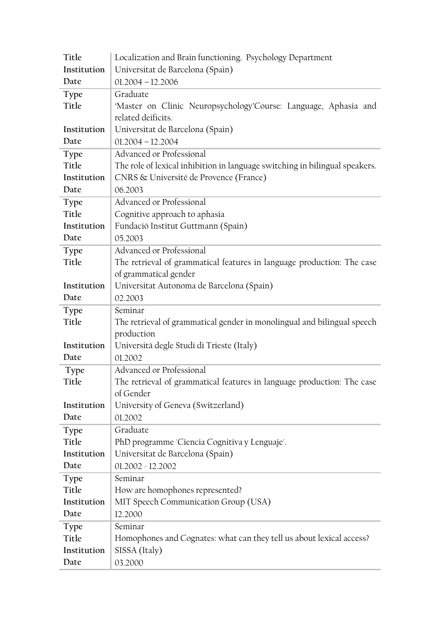| Title       | Localization and Brain functioning. Psychology Department                   |  |
|-------------|-----------------------------------------------------------------------------|--|
| Institution | Universitat de Barcelona (Spain)                                            |  |
| Date        | $01.2004 - 12.2006$                                                         |  |
| Type        | Graduate                                                                    |  |
| Title       | 'Master on Clinic Neuropsychology'Course: Language, Aphasia and             |  |
|             | related deificits.                                                          |  |
| Institution | Universitat de Barcelona (Spain)                                            |  |
| Date        | $01.2004 - 12.2004$                                                         |  |
| Type        | Advanced or Professional                                                    |  |
| Title       | The role of lexical inhibition in language switching in bilingual speakers. |  |
| Institution | CNRS & Université de Provence (France)                                      |  |
| Date        | 06.2003                                                                     |  |
| <b>Type</b> | Advanced or Professional                                                    |  |
| Title       | Cognitive approach to aphasia                                               |  |
| Institution | Fundació Institut Guttmann (Spain)                                          |  |
| Date        | 05.2003                                                                     |  |
| Type        | Advanced or Professional                                                    |  |
| Title       | The retrieval of grammatical features in language production: The case      |  |
|             | of grammatical gender                                                       |  |
| Institution | Universitat Autonoma de Barcelona (Spain)                                   |  |
| Date        | 02.2003                                                                     |  |
| Type        | Seminar                                                                     |  |
| Title       | The retrieval of grammatical gender in monolingual and bilingual speech     |  |
|             | production                                                                  |  |
| Institution | Università degle Studi di Trieste (Italy)                                   |  |
| Date        | 01.2002                                                                     |  |
| Type        | Advanced or Professional                                                    |  |
| Title       | The retrieval of grammatical features in language production: The case      |  |
|             | of Gender                                                                   |  |
| Institution | University of Geneva (Switzerland)                                          |  |
| Date        | 01.2002                                                                     |  |
| <b>Type</b> | Graduate                                                                    |  |
| Title       | PhD programme 'Ciencia Cognitiva y Lenguaje'.                               |  |
| Institution | Universitat de Barcelona (Spain)                                            |  |
| Date        | $01.2002 - 12.2002$                                                         |  |
| Type        | Seminar                                                                     |  |
| Title       | How are homophones represented?                                             |  |
| Institution | MIT Speech Communication Group (USA)                                        |  |
| Date        | 12.2000                                                                     |  |
| Type        | Seminar                                                                     |  |
| Title       | Homophones and Cognates: what can they tell us about lexical access?        |  |
| Institution | SISSA (Italy)                                                               |  |
| Date        | 03.2000                                                                     |  |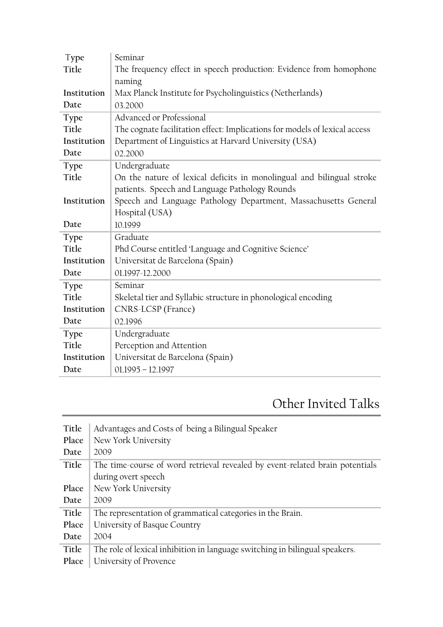| Type        | Seminar                                                                    |  |
|-------------|----------------------------------------------------------------------------|--|
| Title       | The frequency effect in speech production: Evidence from homophone         |  |
|             | naming                                                                     |  |
| Institution | Max Planck Institute for Psycholinguistics (Netherlands)                   |  |
| Date        | 03.2000                                                                    |  |
| <b>Type</b> | Advanced or Professional                                                   |  |
| Title       | The cognate facilitation effect: Implications for models of lexical access |  |
| Institution | Department of Linguistics at Harvard University (USA)                      |  |
| Date        | 02.2000                                                                    |  |
| Type        | Undergraduate                                                              |  |
| Title       | On the nature of lexical deficits in monolingual and bilingual stroke      |  |
|             | patients. Speech and Language Pathology Rounds                             |  |
| Institution | Speech and Language Pathology Department, Massachusetts General            |  |
|             | Hospital (USA)                                                             |  |
| Date        | 10.1999                                                                    |  |
| Type        | Graduate                                                                   |  |
| Title       | Phd Course entitled 'Language and Cognitive Science'                       |  |
| Institution | Universitat de Barcelona (Spain)                                           |  |
| Date        | 01.1997-12.2000                                                            |  |
| Type        | Seminar                                                                    |  |
| Title       | Skeletal tier and Syllabic structure in phonological encoding              |  |
| Institution | CNRS-LCSP (France)                                                         |  |
| Date        | 02.1996                                                                    |  |
| Type        | Undergraduate                                                              |  |
| Title       | Perception and Attention                                                   |  |
| Institution | Universitat de Barcelona (Spain)                                           |  |
| Date        | $01.1995 - 12.1997$                                                        |  |

# Other Invited Talks

| Title | Advantages and Costs of being a Bilingual Speaker                            |
|-------|------------------------------------------------------------------------------|
| Place | New York University                                                          |
| Date  | 2009                                                                         |
| Title | The time-course of word retrieval revealed by event-related brain potentials |
|       | during overt speech                                                          |
| Place | New York University                                                          |
| Date  | 2009                                                                         |
| Title | The representation of grammatical categories in the Brain.                   |
| Place | University of Basque Country                                                 |
| Date  | 2004                                                                         |
| Title | The role of lexical inhibition in language switching in bilingual speakers.  |
| Place | University of Provence                                                       |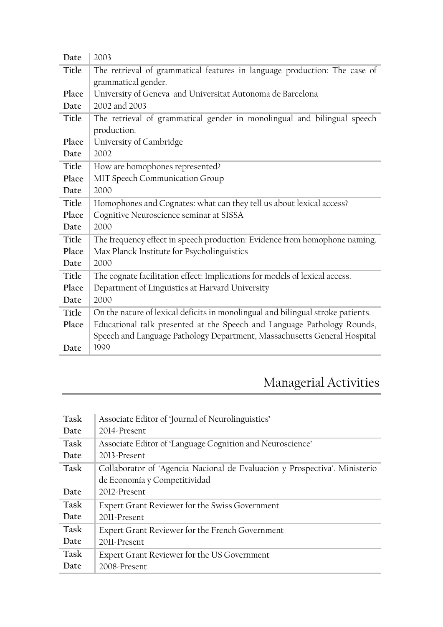| The retrieval of grammatical features in language production: The case of<br>Title<br>grammatical gender.<br>University of Geneva and Universitat Autonoma de Barcelona<br>Place<br>2002 and 2003<br>Date<br>The retrieval of grammatical gender in monolingual and bilingual speech<br>Title<br>production.<br>University of Cambridge<br>Place<br>2002<br>Date<br>Title<br>How are homophones represented?<br>Place<br>MIT Speech Communication Group<br>2000<br>Date<br>Title<br>Homophones and Cognates: what can they tell us about lexical access?<br>Place<br>Cognitive Neuroscience seminar at SISSA<br>2000<br>Date<br>The frequency effect in speech production: Evidence from homophone naming.<br>Title<br>Place<br>Max Planck Institute for Psycholinguistics<br>2000<br>Date<br>Title<br>The cognate facilitation effect: Implications for models of lexical access.<br>Place<br>Department of Linguistics at Harvard University<br>2000<br>Date<br>On the nature of lexical deficits in monolingual and bilingual stroke patients.<br>Title<br>Educational talk presented at the Speech and Language Pathology Rounds,<br>Place<br>Speech and Language Pathology Department, Massachusetts General Hospital<br>1999<br>Date | Date | 2003 |
|--------------------------------------------------------------------------------------------------------------------------------------------------------------------------------------------------------------------------------------------------------------------------------------------------------------------------------------------------------------------------------------------------------------------------------------------------------------------------------------------------------------------------------------------------------------------------------------------------------------------------------------------------------------------------------------------------------------------------------------------------------------------------------------------------------------------------------------------------------------------------------------------------------------------------------------------------------------------------------------------------------------------------------------------------------------------------------------------------------------------------------------------------------------------------------------------------------------------------------------------|------|------|
|                                                                                                                                                                                                                                                                                                                                                                                                                                                                                                                                                                                                                                                                                                                                                                                                                                                                                                                                                                                                                                                                                                                                                                                                                                            |      |      |
|                                                                                                                                                                                                                                                                                                                                                                                                                                                                                                                                                                                                                                                                                                                                                                                                                                                                                                                                                                                                                                                                                                                                                                                                                                            |      |      |
|                                                                                                                                                                                                                                                                                                                                                                                                                                                                                                                                                                                                                                                                                                                                                                                                                                                                                                                                                                                                                                                                                                                                                                                                                                            |      |      |
|                                                                                                                                                                                                                                                                                                                                                                                                                                                                                                                                                                                                                                                                                                                                                                                                                                                                                                                                                                                                                                                                                                                                                                                                                                            |      |      |
|                                                                                                                                                                                                                                                                                                                                                                                                                                                                                                                                                                                                                                                                                                                                                                                                                                                                                                                                                                                                                                                                                                                                                                                                                                            |      |      |
|                                                                                                                                                                                                                                                                                                                                                                                                                                                                                                                                                                                                                                                                                                                                                                                                                                                                                                                                                                                                                                                                                                                                                                                                                                            |      |      |
|                                                                                                                                                                                                                                                                                                                                                                                                                                                                                                                                                                                                                                                                                                                                                                                                                                                                                                                                                                                                                                                                                                                                                                                                                                            |      |      |
|                                                                                                                                                                                                                                                                                                                                                                                                                                                                                                                                                                                                                                                                                                                                                                                                                                                                                                                                                                                                                                                                                                                                                                                                                                            |      |      |
|                                                                                                                                                                                                                                                                                                                                                                                                                                                                                                                                                                                                                                                                                                                                                                                                                                                                                                                                                                                                                                                                                                                                                                                                                                            |      |      |
|                                                                                                                                                                                                                                                                                                                                                                                                                                                                                                                                                                                                                                                                                                                                                                                                                                                                                                                                                                                                                                                                                                                                                                                                                                            |      |      |
|                                                                                                                                                                                                                                                                                                                                                                                                                                                                                                                                                                                                                                                                                                                                                                                                                                                                                                                                                                                                                                                                                                                                                                                                                                            |      |      |
|                                                                                                                                                                                                                                                                                                                                                                                                                                                                                                                                                                                                                                                                                                                                                                                                                                                                                                                                                                                                                                                                                                                                                                                                                                            |      |      |
|                                                                                                                                                                                                                                                                                                                                                                                                                                                                                                                                                                                                                                                                                                                                                                                                                                                                                                                                                                                                                                                                                                                                                                                                                                            |      |      |
|                                                                                                                                                                                                                                                                                                                                                                                                                                                                                                                                                                                                                                                                                                                                                                                                                                                                                                                                                                                                                                                                                                                                                                                                                                            |      |      |
|                                                                                                                                                                                                                                                                                                                                                                                                                                                                                                                                                                                                                                                                                                                                                                                                                                                                                                                                                                                                                                                                                                                                                                                                                                            |      |      |
|                                                                                                                                                                                                                                                                                                                                                                                                                                                                                                                                                                                                                                                                                                                                                                                                                                                                                                                                                                                                                                                                                                                                                                                                                                            |      |      |
|                                                                                                                                                                                                                                                                                                                                                                                                                                                                                                                                                                                                                                                                                                                                                                                                                                                                                                                                                                                                                                                                                                                                                                                                                                            |      |      |
|                                                                                                                                                                                                                                                                                                                                                                                                                                                                                                                                                                                                                                                                                                                                                                                                                                                                                                                                                                                                                                                                                                                                                                                                                                            |      |      |
|                                                                                                                                                                                                                                                                                                                                                                                                                                                                                                                                                                                                                                                                                                                                                                                                                                                                                                                                                                                                                                                                                                                                                                                                                                            |      |      |
|                                                                                                                                                                                                                                                                                                                                                                                                                                                                                                                                                                                                                                                                                                                                                                                                                                                                                                                                                                                                                                                                                                                                                                                                                                            |      |      |
|                                                                                                                                                                                                                                                                                                                                                                                                                                                                                                                                                                                                                                                                                                                                                                                                                                                                                                                                                                                                                                                                                                                                                                                                                                            |      |      |
|                                                                                                                                                                                                                                                                                                                                                                                                                                                                                                                                                                                                                                                                                                                                                                                                                                                                                                                                                                                                                                                                                                                                                                                                                                            |      |      |
|                                                                                                                                                                                                                                                                                                                                                                                                                                                                                                                                                                                                                                                                                                                                                                                                                                                                                                                                                                                                                                                                                                                                                                                                                                            |      |      |
|                                                                                                                                                                                                                                                                                                                                                                                                                                                                                                                                                                                                                                                                                                                                                                                                                                                                                                                                                                                                                                                                                                                                                                                                                                            |      |      |

# Managerial Activities

| Task | Associate Editor of 'Journal of Neurolinguistics'                          |
|------|----------------------------------------------------------------------------|
| Date | 2014-Present                                                               |
| Task | Associate Editor of 'Language Cognition and Neuroscience'                  |
| Date | 2013-Present                                                               |
| Task | Collaborator of 'Agencia Nacional de Evaluación y Prospectiva'. Ministerio |
|      | de Economía y Competitividad                                               |
| Date | 2012-Present                                                               |
| Task | Expert Grant Reviewer for the Swiss Government                             |
| Date | 2011-Present                                                               |
| Task | Expert Grant Reviewer for the French Government                            |
| Date | 2011-Present                                                               |
| Task | Expert Grant Reviewer for the US Government                                |
| Date | 2008-Present                                                               |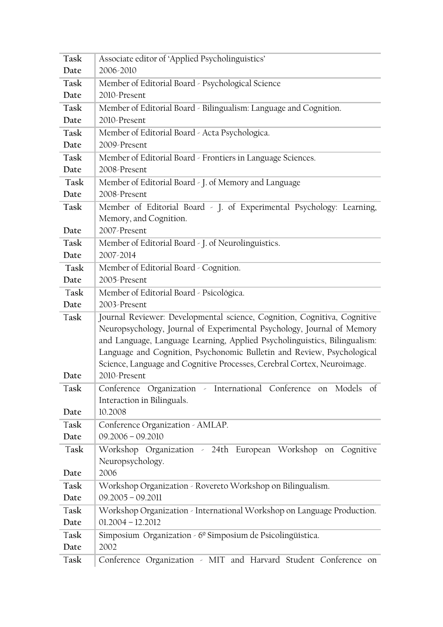| Task         | Associate editor of 'Applied Psycholinguistics'                                                                                                                                                                                                                                                           |  |  |
|--------------|-----------------------------------------------------------------------------------------------------------------------------------------------------------------------------------------------------------------------------------------------------------------------------------------------------------|--|--|
| Date         | 2006-2010                                                                                                                                                                                                                                                                                                 |  |  |
| Task         | Member of Editorial Board - Psychological Science                                                                                                                                                                                                                                                         |  |  |
| Date         | 2010-Present                                                                                                                                                                                                                                                                                              |  |  |
| Task         | Member of Editorial Board - Bilingualism: Language and Cognition.                                                                                                                                                                                                                                         |  |  |
| Date         | 2010-Present                                                                                                                                                                                                                                                                                              |  |  |
| Task         | Member of Editorial Board - Acta Psychologica.                                                                                                                                                                                                                                                            |  |  |
| Date         | 2009-Present                                                                                                                                                                                                                                                                                              |  |  |
| Task         | Member of Editorial Board - Frontiers in Language Sciences.                                                                                                                                                                                                                                               |  |  |
| Date         | 2008-Present                                                                                                                                                                                                                                                                                              |  |  |
| Task         | Member of Editorial Board - J. of Memory and Language                                                                                                                                                                                                                                                     |  |  |
| Date         | 2008-Present                                                                                                                                                                                                                                                                                              |  |  |
| Task         | Member of Editorial Board - J. of Experimental Psychology: Learning,                                                                                                                                                                                                                                      |  |  |
|              | Memory, and Cognition.                                                                                                                                                                                                                                                                                    |  |  |
| Date         | 2007-Present                                                                                                                                                                                                                                                                                              |  |  |
| Task         | Member of Editorial Board - J. of Neurolinguistics.                                                                                                                                                                                                                                                       |  |  |
| Date         | 2007-2014                                                                                                                                                                                                                                                                                                 |  |  |
| Task         | Member of Editorial Board - Cognition.                                                                                                                                                                                                                                                                    |  |  |
| Date         | 2005-Present                                                                                                                                                                                                                                                                                              |  |  |
| Task         | Member of Editorial Board - Psicológica.                                                                                                                                                                                                                                                                  |  |  |
| Date         | 2003-Present                                                                                                                                                                                                                                                                                              |  |  |
| Task         | Journal Reviewer: Developmental science, Cognition, Cognitiva, Cognitive<br>Neuropsychology, Journal of Experimental Psychology, Journal of Memory<br>and Language, Language Learning, Applied Psycholinguistics, Bilingualism:<br>Language and Cognition, Psychonomic Bulletin and Review, Psychological |  |  |
| Date         | Science, Language and Cognitive Processes, Cerebral Cortex, Neuroimage.<br>2010-Present                                                                                                                                                                                                                   |  |  |
| Task         | Conference Organization - International Conference on Models of<br>Interaction in Bilinguals.                                                                                                                                                                                                             |  |  |
| Date         | 10.2008                                                                                                                                                                                                                                                                                                   |  |  |
| Task         | Conference Organization - AMLAP.                                                                                                                                                                                                                                                                          |  |  |
| Date         | $09.2006 - 09.2010$                                                                                                                                                                                                                                                                                       |  |  |
| Task         | Workshop Organization - 24th European Workshop on Cognitive<br>Neuropsychology.                                                                                                                                                                                                                           |  |  |
| Date         | 2006                                                                                                                                                                                                                                                                                                      |  |  |
| Task         | Workshop Organization - Rovereto Workshop on Bilingualism.                                                                                                                                                                                                                                                |  |  |
| Date         | $09.2005 - 09.2011$                                                                                                                                                                                                                                                                                       |  |  |
|              |                                                                                                                                                                                                                                                                                                           |  |  |
| Task         | Workshop Organization - International Workshop on Language Production.                                                                                                                                                                                                                                    |  |  |
| Date         | $01.2004 - 12.2012$                                                                                                                                                                                                                                                                                       |  |  |
| Task         | Simposium Organization - 6º Simposium de Psicolingüística.                                                                                                                                                                                                                                                |  |  |
| Date<br>Task | 2002<br>Conference Organization - MIT and Harvard Student Conference on                                                                                                                                                                                                                                   |  |  |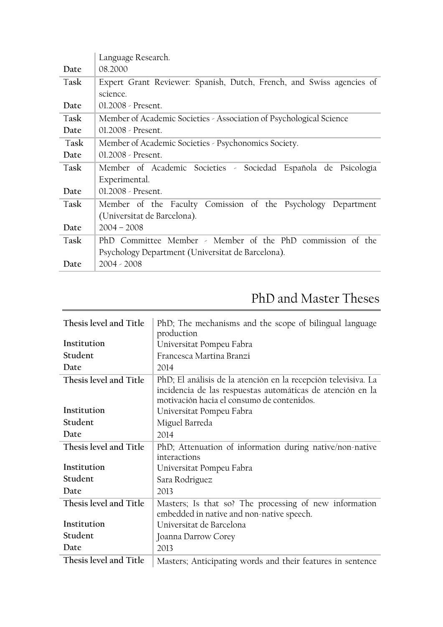|      | Language Research.                                                   |  |
|------|----------------------------------------------------------------------|--|
| Date | 08.2000                                                              |  |
| Task | Expert Grant Reviewer: Spanish, Dutch, French, and Swiss agencies of |  |
|      | science.                                                             |  |
| Date | 01.2008 - Present.                                                   |  |
| Task | Member of Academic Societies - Association of Psychological Science  |  |
| Date | $01.2008 -$ Present.                                                 |  |
| Task | Member of Academic Societies - Psychonomics Society.                 |  |
| Date | $01.2008 -$ Present.                                                 |  |
| Task | Member of Academic Societies - Sociedad Española de Psicología       |  |
|      | Experimental.                                                        |  |
| Date | $01.2008 -$ Present.                                                 |  |
| Task | Member of the Faculty Comission of the Psychology Department         |  |
|      | (Universitat de Barcelona).                                          |  |
| Date | $2004 - 2008$                                                        |  |
| Task | PhD Committee Member - Member of the PhD commission of the           |  |
|      | Psychology Department (Universitat de Barcelona).                    |  |
| Date | $2004 - 2008$                                                        |  |

# PhD and Master Theses

| Thesis level and Title | PhD; The mechanisms and the scope of bilingual language<br>production                                                                                                      |
|------------------------|----------------------------------------------------------------------------------------------------------------------------------------------------------------------------|
| Institution            | Universitat Pompeu Fabra                                                                                                                                                   |
| Student                | Francesca Martina Branzi                                                                                                                                                   |
| Date                   | 2014                                                                                                                                                                       |
| Thesis level and Title | PhD; El análisis de la atención en la recepción televisiva. La<br>incidencia de las respuestas automáticas de atención en la<br>motivación hacia el consumo de contenidos. |
| Institution            | Universitat Pompeu Fabra                                                                                                                                                   |
| Student                | Miguel Barreda                                                                                                                                                             |
| Date                   | 2014                                                                                                                                                                       |
| Thesis level and Title | PhD; Attenuation of information during native/non-native<br>interactions                                                                                                   |
| Institution            | Universitat Pompeu Fabra                                                                                                                                                   |
| Student                | Sara Rodriguez                                                                                                                                                             |
| Date                   | 2013                                                                                                                                                                       |
| Thesis level and Title | Masters; Is that so? The processing of new information<br>embedded in native and non-native speech.                                                                        |
| Institution            | Universitat de Barcelona                                                                                                                                                   |
| Student                | Joanna Darrow Corey                                                                                                                                                        |
| Date                   | 2013                                                                                                                                                                       |
| Thesis level and Title | Masters; Anticipating words and their features in sentence                                                                                                                 |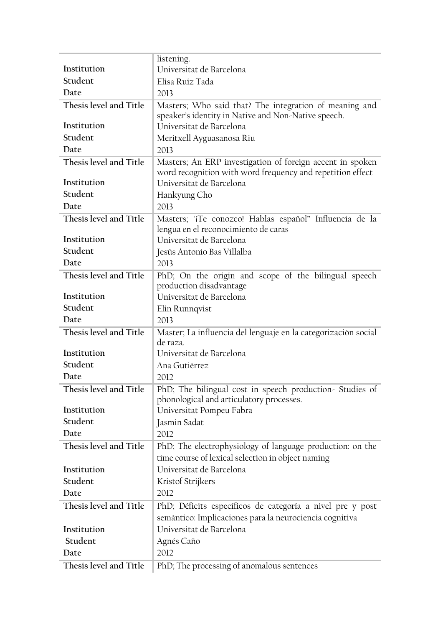|                        | listening.                                                                                                    |
|------------------------|---------------------------------------------------------------------------------------------------------------|
| Institution            | Universitat de Barcelona                                                                                      |
| Student                | Elisa Ruiz Tada                                                                                               |
| Date                   | 2013                                                                                                          |
| Thesis level and Title | Masters; Who said that? The integration of meaning and<br>speaker's identity in Native and Non-Native speech. |
| Institution            | Universitat de Barcelona                                                                                      |
| Student                | Meritxell Ayguasanosa Riu                                                                                     |
| Date                   | 2013                                                                                                          |
| Thesis level and Title | Masters; An ERP investigation of foreign accent in spoken                                                     |
|                        | word recognition with word frequency and repetition effect                                                    |
| Institution            | Universitat de Barcelona                                                                                      |
| Student                | Hankyung Cho                                                                                                  |
| Date                   | 2013                                                                                                          |
| Thesis level and Title | Masters; "¡Te conozco! Hablas español" Influencia de la<br>lengua en el reconocimiento de caras               |
| Institution            | Universitat de Barcelona                                                                                      |
| Student                | Jesús Antonio Bas Villalba                                                                                    |
| Date                   | 2013                                                                                                          |
| Thesis level and Title | PhD; On the origin and scope of the bilingual speech                                                          |
|                        | production disadvantage                                                                                       |
| Institution            | Universitat de Barcelona                                                                                      |
| Student                | Elin Runnqvist                                                                                                |
| Date                   | 2013                                                                                                          |
| Thesis level and Title | Master; La influencia del lenguaje en la categorización social                                                |
| Institution            | de raza.<br>Universitat de Barcelona                                                                          |
| Student                | Ana Gutiérrez                                                                                                 |
| Date                   |                                                                                                               |
|                        | 2012                                                                                                          |
| Thesis level and Title | PhD; The bilingual cost in speech production-Studies of<br>phonological and articulatory processes.           |
| Institution            | Universitat Pompeu Fabra                                                                                      |
| Student                | Jasmin Sadat                                                                                                  |
| Date                   | 2012                                                                                                          |
| Thesis level and Title | PhD; The electrophysiology of language production: on the                                                     |
|                        | time course of lexical selection in object naming                                                             |
| Institution            | Universitat de Barcelona                                                                                      |
| Student                | Kristof Strijkers                                                                                             |
| Date                   | 2012                                                                                                          |
| Thesis level and Title | PhD; Déficits específicos de categoría a nivel pre y post                                                     |
|                        | semántico: Implicaciones para la neurociencia cognitiva                                                       |
| Institution            | Universitat de Barcelona                                                                                      |
| Student                | Agnés Caño                                                                                                    |
| Date                   | 2012                                                                                                          |
| Thesis level and Title | PhD; The processing of anomalous sentences                                                                    |
|                        |                                                                                                               |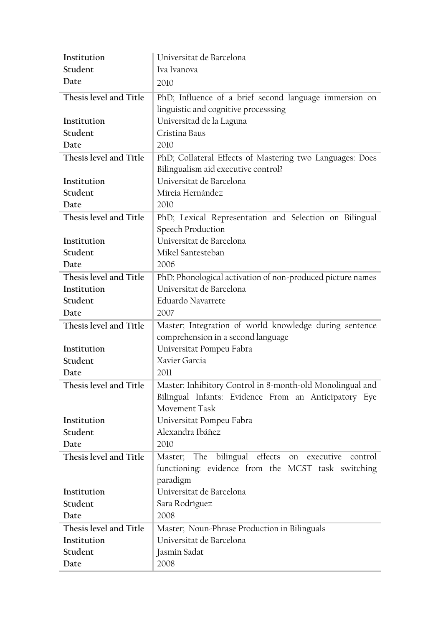| Institution            | Universitat de Barcelona                                   |
|------------------------|------------------------------------------------------------|
| Student                | Iva Ivanova                                                |
| Date                   | 2010                                                       |
| Thesis level and Title | PhD; Influence of a brief second language immersion on     |
|                        | linguistic and cognitive processsing                       |
| Institution            | Universitad de la Laguna                                   |
| Student                | Cristina Baus                                              |
| Date                   | 2010                                                       |
| Thesis level and Title | PhD; Collateral Effects of Mastering two Languages: Does   |
|                        | Bilingualism aid executive control?                        |
| Institution            | Universitat de Barcelona                                   |
| Student                | Mireia Hernández                                           |
| Date                   | 2010                                                       |
| Thesis level and Title | PhD; Lexical Representation and Selection on Bilingual     |
|                        | <b>Speech Production</b>                                   |
| Institution            | Universitat de Barcelona                                   |
| Student                | Mikel Santesteban                                          |
| Date                   | 2006                                                       |
| Thesis level and Title | PhD; Phonological activation of non-produced picture names |
| Institution            | Universitat de Barcelona                                   |
| Student                | Eduardo Navarrete                                          |
| Date                   | 2007                                                       |
| Thesis level and Title | Master; Integration of world knowledge during sentence     |
|                        | comprehension in a second language                         |
| Institution            | Universitat Pompeu Fabra                                   |
| Student                | Xavier Garcia                                              |
| Date                   | 2011                                                       |
| Thesis level and Title | Master; Inhibitory Control in 8-month-old Monolingual and  |
|                        | Bilingual Infants: Evidence From an Anticipatory Eye       |
|                        | Movement Task                                              |
| Institution            | Universitat Pompeu Fabra                                   |
| Student                | Alexandra Ibáñez                                           |
| Date                   | 2010                                                       |
| Thesis level and Title | Master; The bilingual effects on executive<br>control      |
|                        | functioning: evidence from the MCST task switching         |
|                        | paradigm                                                   |
| Institution            | Universitat de Barcelona                                   |
| Student                | Sara Rodríguez                                             |
| Date                   | 2008                                                       |
| Thesis level and Title | Master; Noun-Phrase Production in Bilinguals               |
| Institution            | Universitat de Barcelona                                   |
| Student                | Jasmin Sadat                                               |
| Date                   | 2008                                                       |